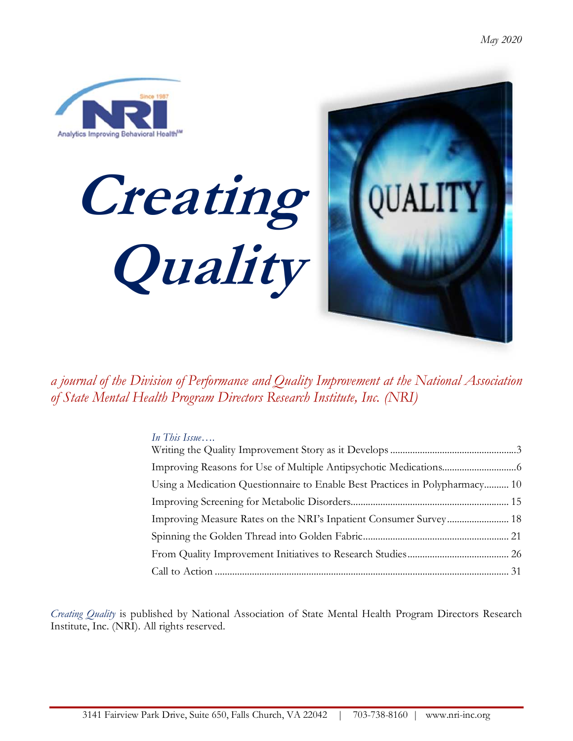

Creating Quality



a journal of the Division of Performance and Quality Improvement at the National Association of State Mental Health Program Directors Research Institute, Inc. (NRI)

## In This Issue....

| Using a Medication Questionnaire to Enable Best Practices in Polypharmacy 10 |  |
|------------------------------------------------------------------------------|--|
|                                                                              |  |
| Improving Measure Rates on the NRI's Inpatient Consumer Survey 18            |  |
|                                                                              |  |
|                                                                              |  |
|                                                                              |  |

Creating Quality is published by National Association of State Mental Health Program Directors Research Institute, Inc. (NRI). All rights reserved.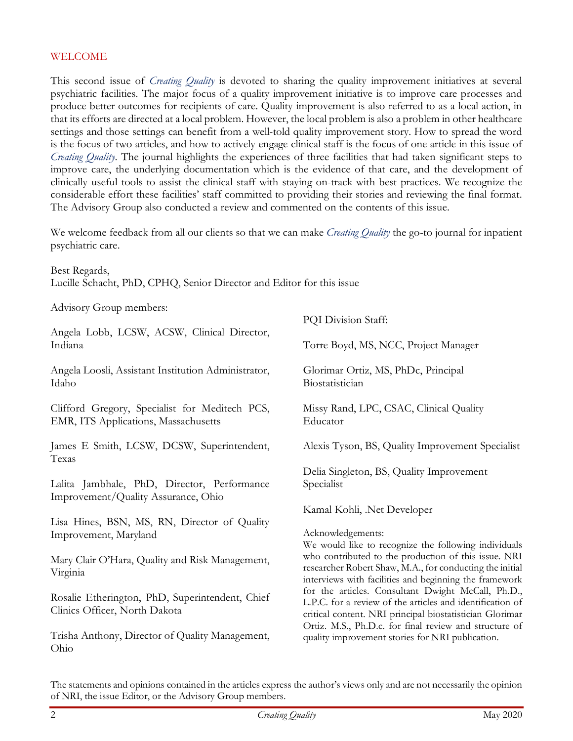#### WELCOME

This second issue of *Creating Quality* is devoted to sharing the quality improvement initiatives at several psychiatric facilities. The major focus of a quality improvement initiative is to improve care processes and produce better outcomes for recipients of care. Quality improvement is also referred to as a local action, in that its efforts are directed at a local problem. However, the local problem is also a problem in other healthcare settings and those settings can benefit from a well-told quality improvement story. How to spread the word is the focus of two articles, and how to actively engage clinical staff is the focus of one article in this issue of Creating Quality. The journal highlights the experiences of three facilities that had taken significant steps to improve care, the underlying documentation which is the evidence of that care, and the development of clinically useful tools to assist the clinical staff with staying on-track with best practices. We recognize the considerable effort these facilities' staff committed to providing their stories and reviewing the final format. The Advisory Group also conducted a review and commented on the contents of this issue.

We welcome feedback from all our clients so that we can make Creating Quality the go-to journal for inpatient psychiatric care.

Best Regards, Lucille Schacht, PhD, CPHQ, Senior Director and Editor for this issue

Advisory Group members:

|                                                                                        | PQI Division Staff:                                                                                                                                                         |  |  |
|----------------------------------------------------------------------------------------|-----------------------------------------------------------------------------------------------------------------------------------------------------------------------------|--|--|
| Angela Lobb, LCSW, ACSW, Clinical Director,<br>Indiana                                 | Torre Boyd, MS, NCC, Project Manager                                                                                                                                        |  |  |
| Angela Loosli, Assistant Institution Administrator,<br>Idaho                           | Glorimar Ortiz, MS, PhDc, Principal<br>Biostatistician                                                                                                                      |  |  |
| Clifford Gregory, Specialist for Meditech PCS,<br>EMR, ITS Applications, Massachusetts | Missy Rand, LPC, CSAC, Clinical Quality<br>Educator                                                                                                                         |  |  |
| James E Smith, LCSW, DCSW, Superintendent,<br>Texas                                    | Alexis Tyson, BS, Quality Improvement Specialist                                                                                                                            |  |  |
| Lalita Jambhale, PhD, Director, Performance<br>Improvement/Quality Assurance, Ohio     | Delia Singleton, BS, Quality Improvement<br>Specialist                                                                                                                      |  |  |
|                                                                                        | Kamal Kohli, .Net Developer                                                                                                                                                 |  |  |
| Lisa Hines, BSN, MS, RN, Director of Quality<br>Improvement, Maryland                  | Acknowledgements:<br>We would like to recognize the following individuals                                                                                                   |  |  |
| Mary Clair O'Hara, Quality and Risk Management,<br>Virginia                            | who contributed to the production of this issue. NRI<br>researcher Robert Shaw, M.A., for conducting the initial<br>interviews with facilities and beginning the framework  |  |  |
| Rosalie Etherington, PhD, Superintendent, Chief<br>Clinics Officer, North Dakota       | for the articles. Consultant Dwight McCall, Ph.D.,<br>L.P.C. for a review of the articles and identification of<br>critical content. NRI principal biostatistician Glorimar |  |  |
| Trisha Anthony, Director of Quality Management,<br>Ohio                                | Ortiz. M.S., Ph.D.c. for final review and structure of<br>quality improvement stories for NRI publication.                                                                  |  |  |

The statements and opinions contained in the articles express the author's views only and are not necessarily the opinion of NRI, the issue Editor, or the Advisory Group members.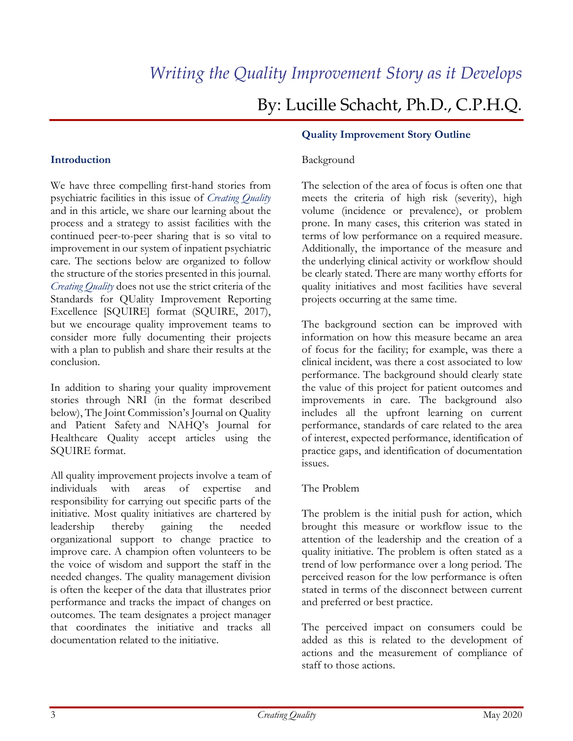# By: Lucille Schacht, Ph.D., C.P.H.Q.

#### Introduction

We have three compelling first-hand stories from psychiatric facilities in this issue of Creating Quality and in this article, we share our learning about the process and a strategy to assist facilities with the continued peer-to-peer sharing that is so vital to improvement in our system of inpatient psychiatric care. The sections below are organized to follow the structure of the stories presented in this journal. Creating Quality does not use the strict criteria of the Standards for QUality Improvement Reporting Excellence [SQUIRE] format (SQUIRE, 2017), but we encourage quality improvement teams to consider more fully documenting their projects with a plan to publish and share their results at the conclusion.

In addition to sharing your quality improvement stories through NRI (in the format described below), The Joint Commission's Journal on Quality and Patient Safety and NAHQ's Journal for Healthcare Quality accept articles using the SQUIRE format.

All quality improvement projects involve a team of individuals with areas of expertise and responsibility for carrying out specific parts of the initiative. Most quality initiatives are chartered by leadership thereby gaining the needed organizational support to change practice to improve care. A champion often volunteers to be the voice of wisdom and support the staff in the needed changes. The quality management division is often the keeper of the data that illustrates prior performance and tracks the impact of changes on outcomes. The team designates a project manager that coordinates the initiative and tracks all documentation related to the initiative.

#### Quality Improvement Story Outline

#### Background

The selection of the area of focus is often one that meets the criteria of high risk (severity), high volume (incidence or prevalence), or problem prone. In many cases, this criterion was stated in terms of low performance on a required measure. Additionally, the importance of the measure and the underlying clinical activity or workflow should be clearly stated. There are many worthy efforts for quality initiatives and most facilities have several projects occurring at the same time.

The background section can be improved with information on how this measure became an area of focus for the facility; for example, was there a clinical incident, was there a cost associated to low performance. The background should clearly state the value of this project for patient outcomes and improvements in care. The background also includes all the upfront learning on current performance, standards of care related to the area of interest, expected performance, identification of practice gaps, and identification of documentation issues.

#### The Problem

The problem is the initial push for action, which brought this measure or workflow issue to the attention of the leadership and the creation of a quality initiative. The problem is often stated as a trend of low performance over a long period. The perceived reason for the low performance is often stated in terms of the disconnect between current and preferred or best practice.

The perceived impact on consumers could be added as this is related to the development of actions and the measurement of compliance of staff to those actions.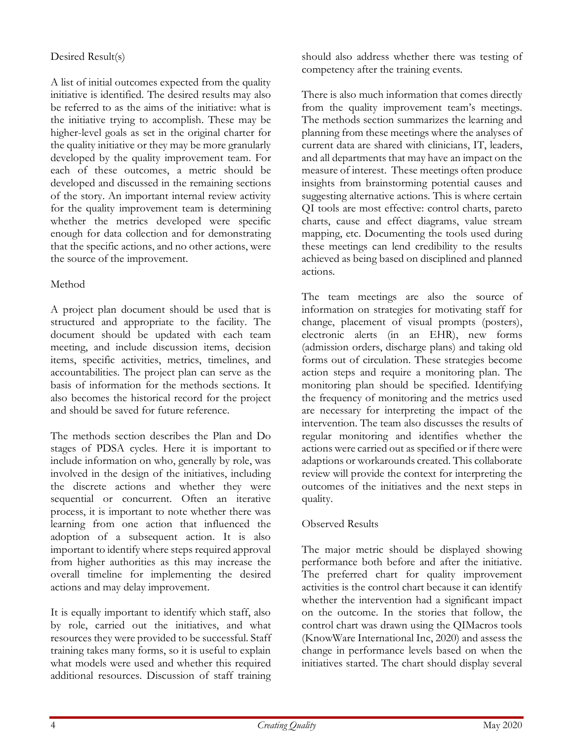# Desired Result(s)

A list of initial outcomes expected from the quality initiative is identified. The desired results may also be referred to as the aims of the initiative: what is the initiative trying to accomplish. These may be higher-level goals as set in the original charter for the quality initiative or they may be more granularly developed by the quality improvement team. For each of these outcomes, a metric should be developed and discussed in the remaining sections of the story. An important internal review activity for the quality improvement team is determining whether the metrics developed were specific enough for data collection and for demonstrating that the specific actions, and no other actions, were the source of the improvement.

## Method

A project plan document should be used that is structured and appropriate to the facility. The document should be updated with each team meeting, and include discussion items, decision items, specific activities, metrics, timelines, and accountabilities. The project plan can serve as the basis of information for the methods sections. It also becomes the historical record for the project and should be saved for future reference.

The methods section describes the Plan and Do stages of PDSA cycles. Here it is important to include information on who, generally by role, was involved in the design of the initiatives, including the discrete actions and whether they were sequential or concurrent. Often an iterative process, it is important to note whether there was learning from one action that influenced the adoption of a subsequent action. It is also important to identify where steps required approval from higher authorities as this may increase the overall timeline for implementing the desired actions and may delay improvement.

It is equally important to identify which staff, also by role, carried out the initiatives, and what resources they were provided to be successful. Staff training takes many forms, so it is useful to explain what models were used and whether this required additional resources. Discussion of staff training should also address whether there was testing of competency after the training events.

There is also much information that comes directly from the quality improvement team's meetings. The methods section summarizes the learning and planning from these meetings where the analyses of current data are shared with clinicians, IT, leaders, and all departments that may have an impact on the measure of interest. These meetings often produce insights from brainstorming potential causes and suggesting alternative actions. This is where certain QI tools are most effective: control charts, pareto charts, cause and effect diagrams, value stream mapping, etc. Documenting the tools used during these meetings can lend credibility to the results achieved as being based on disciplined and planned actions.

The team meetings are also the source of information on strategies for motivating staff for change, placement of visual prompts (posters), electronic alerts (in an EHR), new forms (admission orders, discharge plans) and taking old forms out of circulation. These strategies become action steps and require a monitoring plan. The monitoring plan should be specified. Identifying the frequency of monitoring and the metrics used are necessary for interpreting the impact of the intervention. The team also discusses the results of regular monitoring and identifies whether the actions were carried out as specified or if there were adaptions or workarounds created. This collaborate review will provide the context for interpreting the outcomes of the initiatives and the next steps in quality.

# Observed Results

The major metric should be displayed showing performance both before and after the initiative. The preferred chart for quality improvement activities is the control chart because it can identify whether the intervention had a significant impact on the outcome. In the stories that follow, the control chart was drawn using the QIMacros tools (KnowWare International Inc, 2020) and assess the change in performance levels based on when the initiatives started. The chart should display several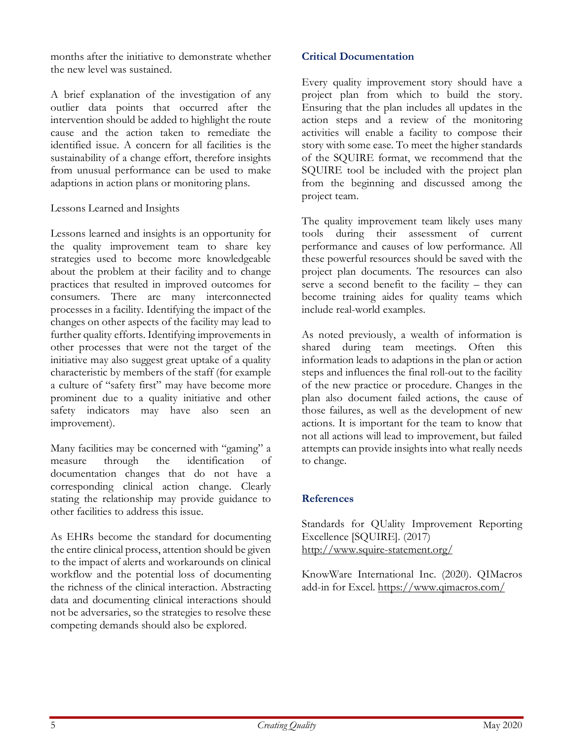months after the initiative to demonstrate whether the new level was sustained.

A brief explanation of the investigation of any outlier data points that occurred after the intervention should be added to highlight the route cause and the action taken to remediate the identified issue. A concern for all facilities is the sustainability of a change effort, therefore insights from unusual performance can be used to make adaptions in action plans or monitoring plans.

#### Lessons Learned and Insights

Lessons learned and insights is an opportunity for the quality improvement team to share key strategies used to become more knowledgeable about the problem at their facility and to change practices that resulted in improved outcomes for consumers. There are many interconnected processes in a facility. Identifying the impact of the changes on other aspects of the facility may lead to further quality efforts. Identifying improvements in other processes that were not the target of the initiative may also suggest great uptake of a quality characteristic by members of the staff (for example a culture of "safety first" may have become more prominent due to a quality initiative and other safety indicators may have also seen an improvement).

Many facilities may be concerned with "gaming" a measure through the identification of documentation changes that do not have a corresponding clinical action change. Clearly stating the relationship may provide guidance to other facilities to address this issue.

As EHRs become the standard for documenting the entire clinical process, attention should be given to the impact of alerts and workarounds on clinical workflow and the potential loss of documenting the richness of the clinical interaction. Abstracting data and documenting clinical interactions should not be adversaries, so the strategies to resolve these competing demands should also be explored.

#### Critical Documentation

Every quality improvement story should have a project plan from which to build the story. Ensuring that the plan includes all updates in the action steps and a review of the monitoring activities will enable a facility to compose their story with some ease. To meet the higher standards of the SQUIRE format, we recommend that the SQUIRE tool be included with the project plan from the beginning and discussed among the project team.

The quality improvement team likely uses many tools during their assessment of current performance and causes of low performance. All these powerful resources should be saved with the project plan documents. The resources can also serve a second benefit to the facility – they can become training aides for quality teams which include real-world examples.

As noted previously, a wealth of information is shared during team meetings. Often this information leads to adaptions in the plan or action steps and influences the final roll-out to the facility of the new practice or procedure. Changes in the plan also document failed actions, the cause of those failures, as well as the development of new actions. It is important for the team to know that not all actions will lead to improvement, but failed attempts can provide insights into what really needs to change.

## References

Standards for QUality Improvement Reporting Excellence [SQUIRE]. (2017) http://www.squire-statement.org/

KnowWare International Inc. (2020). QIMacros add-in for Excel. https://www.qimacros.com/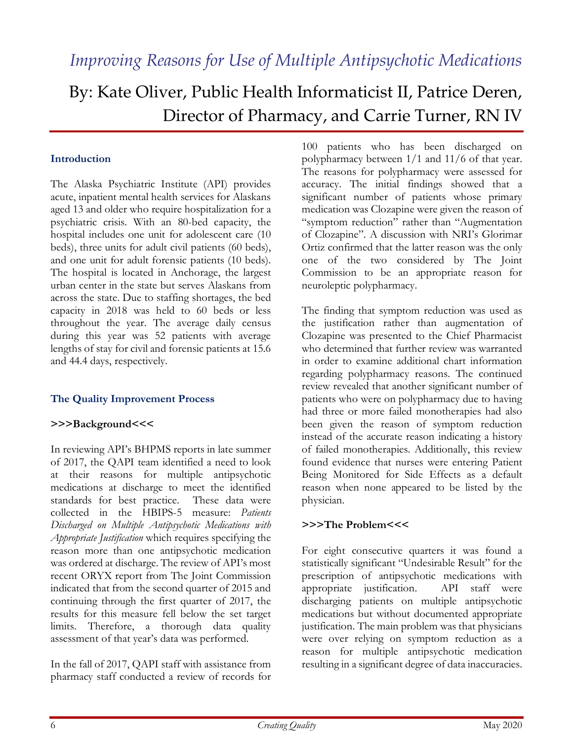# By: Kate Oliver, Public Health Informaticist II, Patrice Deren, Director of Pharmacy, and Carrie Turner, RN IV

#### Introduction

The Alaska Psychiatric Institute (API) provides acute, inpatient mental health services for Alaskans aged 13 and older who require hospitalization for a psychiatric crisis. With an 80-bed capacity, the hospital includes one unit for adolescent care (10 beds), three units for adult civil patients (60 beds), and one unit for adult forensic patients (10 beds). The hospital is located in Anchorage, the largest urban center in the state but serves Alaskans from across the state. Due to staffing shortages, the bed capacity in 2018 was held to 60 beds or less throughout the year. The average daily census during this year was 52 patients with average lengths of stay for civil and forensic patients at 15.6 and 44.4 days, respectively.

## The Quality Improvement Process

#### >>>Background<<<

In reviewing API's BHPMS reports in late summer of 2017, the QAPI team identified a need to look at their reasons for multiple antipsychotic medications at discharge to meet the identified standards for best practice. These data were collected in the HBIPS-5 measure: Patients Discharged on Multiple Antipsychotic Medications with Appropriate Justification which requires specifying the reason more than one antipsychotic medication was ordered at discharge. The review of API's most recent ORYX report from The Joint Commission indicated that from the second quarter of 2015 and continuing through the first quarter of 2017, the results for this measure fell below the set target limits. Therefore, a thorough data quality assessment of that year's data was performed.

In the fall of 2017, QAPI staff with assistance from pharmacy staff conducted a review of records for

100 patients who has been discharged on polypharmacy between 1/1 and 11/6 of that year. The reasons for polypharmacy were assessed for accuracy. The initial findings showed that a significant number of patients whose primary medication was Clozapine were given the reason of "symptom reduction" rather than "Augmentation of Clozapine". A discussion with NRI's Glorimar Ortiz confirmed that the latter reason was the only one of the two considered by The Joint Commission to be an appropriate reason for neuroleptic polypharmacy.

The finding that symptom reduction was used as the justification rather than augmentation of Clozapine was presented to the Chief Pharmacist who determined that further review was warranted in order to examine additional chart information regarding polypharmacy reasons. The continued review revealed that another significant number of patients who were on polypharmacy due to having had three or more failed monotherapies had also been given the reason of symptom reduction instead of the accurate reason indicating a history of failed monotherapies. Additionally, this review found evidence that nurses were entering Patient Being Monitored for Side Effects as a default reason when none appeared to be listed by the physician.

## >>>The Problem<<<

For eight consecutive quarters it was found a statistically significant "Undesirable Result" for the prescription of antipsychotic medications with appropriate justification. API staff were discharging patients on multiple antipsychotic medications but without documented appropriate justification. The main problem was that physicians were over relying on symptom reduction as a reason for multiple antipsychotic medication resulting in a significant degree of data inaccuracies.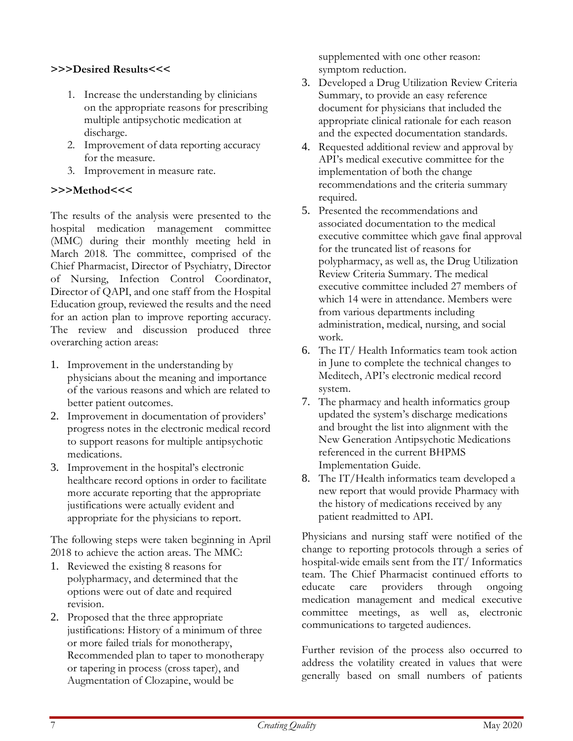## >>>Desired Results<<<

- 1. Increase the understanding by clinicians on the appropriate reasons for prescribing multiple antipsychotic medication at discharge.
- 2. Improvement of data reporting accuracy for the measure.
- 3. Improvement in measure rate.

#### >>>Method<<<

The results of the analysis were presented to the hospital medication management committee (MMC) during their monthly meeting held in March 2018. The committee, comprised of the Chief Pharmacist, Director of Psychiatry, Director of Nursing, Infection Control Coordinator, Director of QAPI, and one staff from the Hospital Education group, reviewed the results and the need for an action plan to improve reporting accuracy. The review and discussion produced three overarching action areas:

- 1. Improvement in the understanding by physicians about the meaning and importance of the various reasons and which are related to better patient outcomes.
- 2. Improvement in documentation of providers' progress notes in the electronic medical record to support reasons for multiple antipsychotic medications.
- 3. Improvement in the hospital's electronic healthcare record options in order to facilitate more accurate reporting that the appropriate justifications were actually evident and appropriate for the physicians to report.

The following steps were taken beginning in April 2018 to achieve the action areas. The MMC:

- 1. Reviewed the existing 8 reasons for polypharmacy, and determined that the options were out of date and required revision.
- 2. Proposed that the three appropriate justifications: History of a minimum of three or more failed trials for monotherapy, Recommended plan to taper to monotherapy or tapering in process (cross taper), and Augmentation of Clozapine, would be

supplemented with one other reason: symptom reduction.

- 3. Developed a Drug Utilization Review Criteria Summary, to provide an easy reference document for physicians that included the appropriate clinical rationale for each reason and the expected documentation standards.
- 4. Requested additional review and approval by API's medical executive committee for the implementation of both the change recommendations and the criteria summary required.
- 5. Presented the recommendations and associated documentation to the medical executive committee which gave final approval for the truncated list of reasons for polypharmacy, as well as, the Drug Utilization Review Criteria Summary. The medical executive committee included 27 members of which 14 were in attendance. Members were from various departments including administration, medical, nursing, and social work.
- 6. The IT/ Health Informatics team took action in June to complete the technical changes to Meditech, API's electronic medical record system.
- 7. The pharmacy and health informatics group updated the system's discharge medications and brought the list into alignment with the New Generation Antipsychotic Medications referenced in the current BHPMS Implementation Guide.
- 8. The IT/Health informatics team developed a new report that would provide Pharmacy with the history of medications received by any patient readmitted to API.

Physicians and nursing staff were notified of the change to reporting protocols through a series of hospital-wide emails sent from the IT/ Informatics team. The Chief Pharmacist continued efforts to educate care providers through ongoing medication management and medical executive committee meetings, as well as, electronic communications to targeted audiences.

Further revision of the process also occurred to address the volatility created in values that were generally based on small numbers of patients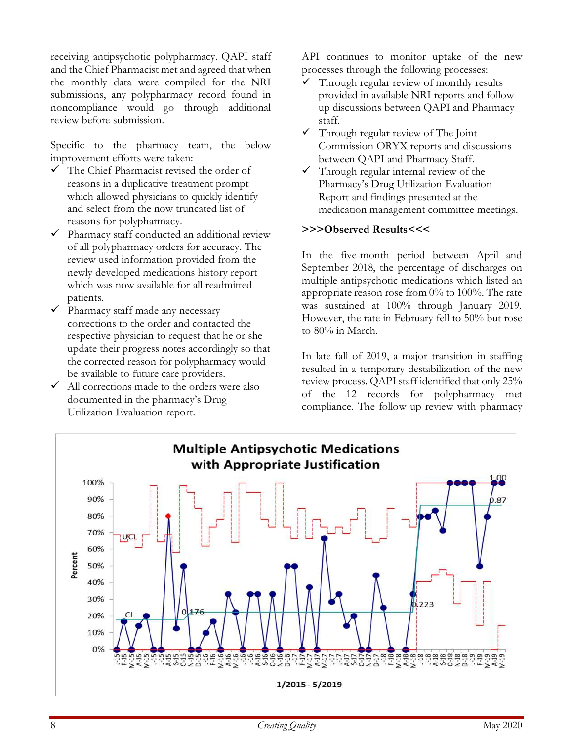receiving antipsychotic polypharmacy. QAPI staff and the Chief Pharmacist met and agreed that when the monthly data were compiled for the NRI submissions, any polypharmacy record found in noncompliance would go through additional review before submission.

Specific to the pharmacy team, the below improvement efforts were taken:

- The Chief Pharmacist revised the order of reasons in a duplicative treatment prompt which allowed physicians to quickly identify and select from the now truncated list of reasons for polypharmacy.
- $\checkmark$  Pharmacy staff conducted an additional review of all polypharmacy orders for accuracy. The review used information provided from the newly developed medications history report which was now available for all readmitted patients.
- $\checkmark$  Pharmacy staff made any necessary corrections to the order and contacted the respective physician to request that he or she update their progress notes accordingly so that the corrected reason for polypharmacy would be available to future care providers.
- $\checkmark$  All corrections made to the orders were also documented in the pharmacy's Drug Utilization Evaluation report.

API continues to monitor uptake of the new processes through the following processes:

- $\checkmark$  Through regular review of monthly results provided in available NRI reports and follow up discussions between QAPI and Pharmacy staff.
- $\checkmark$  Through regular review of The Joint Commission ORYX reports and discussions between QAPI and Pharmacy Staff.
- $\checkmark$  Through regular internal review of the Pharmacy's Drug Utilization Evaluation Report and findings presented at the medication management committee meetings.

#### >>>Observed Results<<<

In the five-month period between April and September 2018, the percentage of discharges on multiple antipsychotic medications which listed an appropriate reason rose from 0% to 100%. The rate was sustained at 100% through January 2019. However, the rate in February fell to 50% but rose to 80% in March.

In late fall of 2019, a major transition in staffing resulted in a temporary destabilization of the new review process. QAPI staff identified that only 25% of the 12 records for polypharmacy met compliance. The follow up review with pharmacy

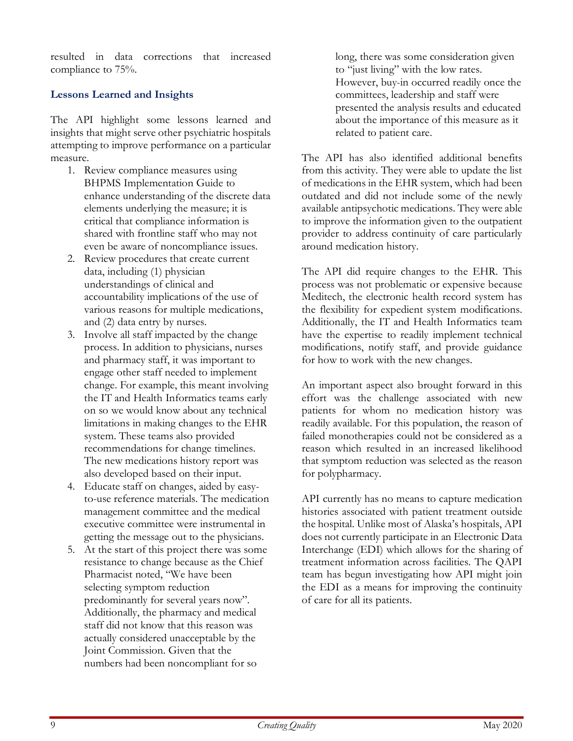resulted in data corrections that increased compliance to 75%.

# Lessons Learned and Insights

The API highlight some lessons learned and insights that might serve other psychiatric hospitals attempting to improve performance on a particular measure.

- 1. Review compliance measures using BHPMS Implementation Guide to enhance understanding of the discrete data elements underlying the measure; it is critical that compliance information is shared with frontline staff who may not even be aware of noncompliance issues.
- 2. Review procedures that create current data, including (1) physician understandings of clinical and accountability implications of the use of various reasons for multiple medications, and (2) data entry by nurses.
- 3. Involve all staff impacted by the change process. In addition to physicians, nurses and pharmacy staff, it was important to engage other staff needed to implement change. For example, this meant involving the IT and Health Informatics teams early on so we would know about any technical limitations in making changes to the EHR system. These teams also provided recommendations for change timelines. The new medications history report was also developed based on their input.
- 4. Educate staff on changes, aided by easyto-use reference materials. The medication management committee and the medical executive committee were instrumental in getting the message out to the physicians.
- 5. At the start of this project there was some resistance to change because as the Chief Pharmacist noted, "We have been selecting symptom reduction predominantly for several years now". Additionally, the pharmacy and medical staff did not know that this reason was actually considered unacceptable by the Joint Commission. Given that the numbers had been noncompliant for so

long, there was some consideration given to "just living" with the low rates. However, buy-in occurred readily once the committees, leadership and staff were presented the analysis results and educated about the importance of this measure as it related to patient care.

The API has also identified additional benefits from this activity. They were able to update the list of medications in the EHR system, which had been outdated and did not include some of the newly available antipsychotic medications. They were able to improve the information given to the outpatient provider to address continuity of care particularly around medication history.

The API did require changes to the EHR. This process was not problematic or expensive because Meditech, the electronic health record system has the flexibility for expedient system modifications. Additionally, the IT and Health Informatics team have the expertise to readily implement technical modifications, notify staff, and provide guidance for how to work with the new changes.

An important aspect also brought forward in this effort was the challenge associated with new patients for whom no medication history was readily available. For this population, the reason of failed monotherapies could not be considered as a reason which resulted in an increased likelihood that symptom reduction was selected as the reason for polypharmacy.

API currently has no means to capture medication histories associated with patient treatment outside the hospital. Unlike most of Alaska's hospitals, API does not currently participate in an Electronic Data Interchange (EDI) which allows for the sharing of treatment information across facilities. The QAPI team has begun investigating how API might join the EDI as a means for improving the continuity of care for all its patients.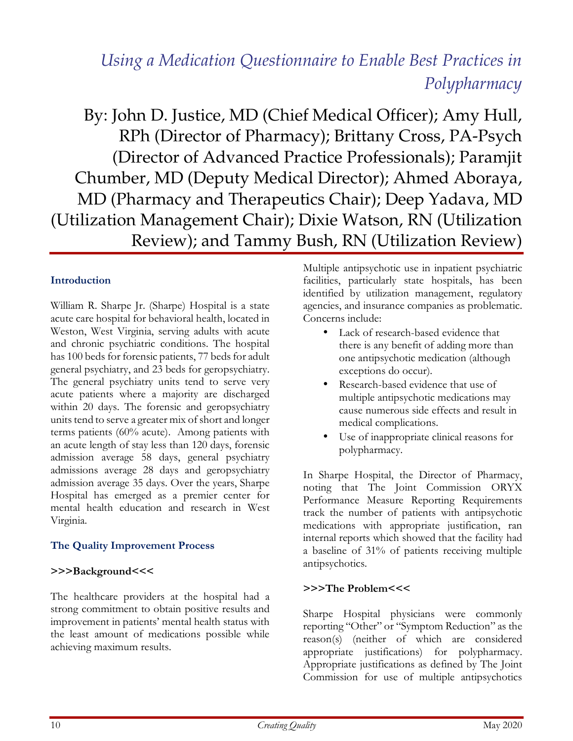# *Using a Medication Questionnaire to Enable Best Practices in Polypharmacy*

By: John D. Justice, MD (Chief Medical Officer); Amy Hull, RPh (Director of Pharmacy); Brittany Cross, PA-Psych (Director of Advanced Practice Professionals); Paramjit Chumber, MD (Deputy Medical Director); Ahmed Aboraya, MD (Pharmacy and Therapeutics Chair); Deep Yadava, MD (Utilization Management Chair); Dixie Watson, RN (Utilization Review); and Tammy Bush, RN (Utilization Review)

# Introduction

William R. Sharpe Jr. (Sharpe) Hospital is a state acute care hospital for behavioral health, located in Weston, West Virginia, serving adults with acute and chronic psychiatric conditions. The hospital has 100 beds for forensic patients, 77 beds for adult general psychiatry, and 23 beds for geropsychiatry. The general psychiatry units tend to serve very acute patients where a majority are discharged within 20 days. The forensic and geropsychiatry units tend to serve a greater mix of short and longer terms patients (60% acute). Among patients with an acute length of stay less than 120 days, forensic admission average 58 days, general psychiatry admissions average 28 days and geropsychiatry admission average 35 days. Over the years, Sharpe Hospital has emerged as a premier center for mental health education and research in West Virginia.

# The Quality Improvement Process

## >>>Background<<<

The healthcare providers at the hospital had a strong commitment to obtain positive results and improvement in patients' mental health status with the least amount of medications possible while achieving maximum results.

Multiple antipsychotic use in inpatient psychiatric facilities, particularly state hospitals, has been identified by utilization management, regulatory agencies, and insurance companies as problematic. Concerns include:

- Lack of research-based evidence that there is any benefit of adding more than one antipsychotic medication (although exceptions do occur).
- Research-based evidence that use of multiple antipsychotic medications may cause numerous side effects and result in medical complications.
- Use of inappropriate clinical reasons for polypharmacy.

In Sharpe Hospital, the Director of Pharmacy, noting that The Joint Commission ORYX Performance Measure Reporting Requirements track the number of patients with antipsychotic medications with appropriate justification, ran internal reports which showed that the facility had a baseline of 31% of patients receiving multiple antipsychotics.

## >>>The Problem<<<

Sharpe Hospital physicians were commonly reporting "Other" or "Symptom Reduction" as the reason(s) (neither of which are considered appropriate justifications) for polypharmacy. Appropriate justifications as defined by The Joint Commission for use of multiple antipsychotics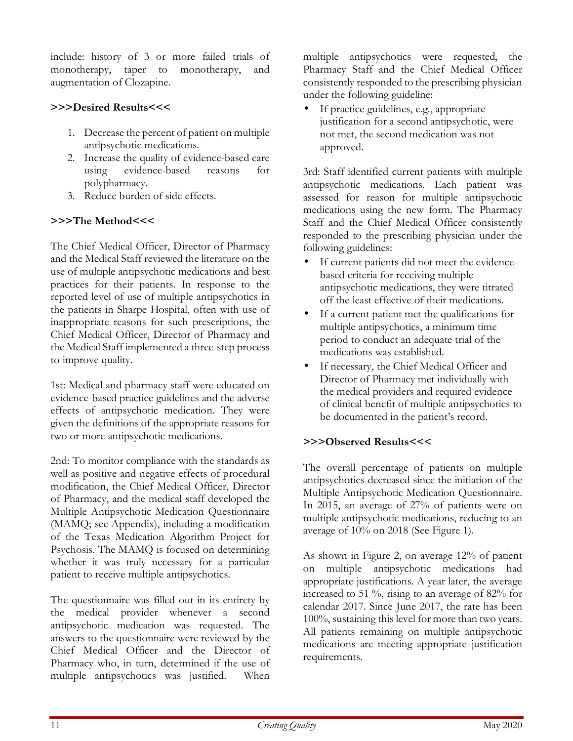include: history of 3 or more failed trials of monotherapy, taper to monotherapy, and augmentation of Clozapine.

# >>>Desired Results<<<

- 1. Decrease the percent of patient on multiple antipsychotic medications.
- 2. Increase the quality of evidence-based care using evidence-based reasons for polypharmacy.
- 3. Reduce burden of side effects.

# >>>The Method<<<

The Chief Medical Officer, Director of Pharmacy and the Medical Staff reviewed the literature on the use of multiple antipsychotic medications and best practices for their patients. In response to the reported level of use of multiple antipsychotics in the patients in Sharpe Hospital, often with use of inappropriate reasons for such prescriptions, the Chief Medical Officer, Director of Pharmacy and the Medical Staff implemented a three-step process to improve quality.

1st: Medical and pharmacy staff were educated on evidence-based practice guidelines and the adverse effects of antipsychotic medication. They were given the definitions of the appropriate reasons for two or more antipsychotic medications.

2nd: To monitor compliance with the standards as well as positive and negative effects of procedural modification, the Chief Medical Officer, Director of Pharmacy, and the medical staff developed the Multiple Antipsychotic Medication Questionnaire (MAMQ; see Appendix), including a modification of the Texas Medication Algorithm Project for Psychosis. The MAMQ is focused on determining whether it was truly necessary for a particular patient to receive multiple antipsychotics.

The questionnaire was filled out in its entirety by the medical provider whenever a second antipsychotic medication was requested. The answers to the questionnaire were reviewed by the Chief Medical Officer and the Director of Pharmacy who, in turn, determined if the use of multiple antipsychotics was justified. When

multiple antipsychotics were requested, the Pharmacy Staff and the Chief Medical Officer consistently responded to the prescribing physician under the following guideline:

If practice guidelines, e.g., appropriate justification for a second antipsychotic, were not met, the second medication was not approved.

3rd: Staff identified current patients with multiple antipsychotic medications. Each patient was assessed for reason for multiple antipsychotic medications using the new form. The Pharmacy Staff and the Chief Medical Officer consistently responded to the prescribing physician under the following guidelines:

- If current patients did not meet the evidencebased criteria for receiving multiple antipsychotic medications, they were titrated off the least effective of their medications.
- If a current patient met the qualifications for multiple antipsychotics, a minimum time period to conduct an adequate trial of the medications was established.
- If necessary, the Chief Medical Officer and Director of Pharmacy met individually with the medical providers and required evidence of clinical benefit of multiple antipsychotics to be documented in the patient's record.

# >>>Observed Results<<<

The overall percentage of patients on multiple antipsychotics decreased since the initiation of the Multiple Antipsychotic Medication Questionnaire. In 2015, an average of 27% of patients were on multiple antipsychotic medications, reducing to an average of 10% on 2018 (See Figure 1).

As shown in Figure 2, on average 12% of patient on multiple antipsychotic medications had appropriate justifications. A year later, the average increased to 51 %, rising to an average of 82% for calendar 2017. Since June 2017, the rate has been 100%, sustaining this level for more than two years. All patients remaining on multiple antipsychotic medications are meeting appropriate justification requirements.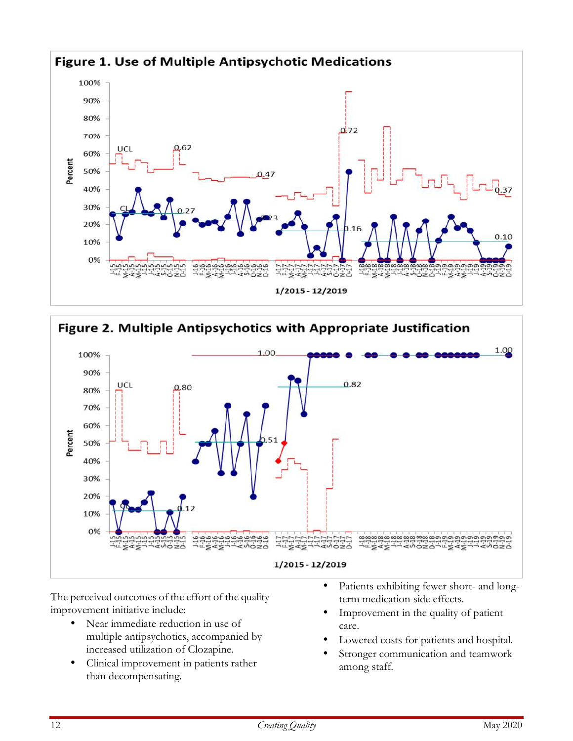



The perceived outcomes of the effort of the quality improvement initiative include:

- Near immediate reduction in use of multiple antipsychotics, accompanied by increased utilization of Clozapine.
- Clinical improvement in patients rather than decompensating.
- Patients exhibiting fewer short- and longterm medication side effects.
- Improvement in the quality of patient care.
- Lowered costs for patients and hospital.
- Stronger communication and teamwork among staff.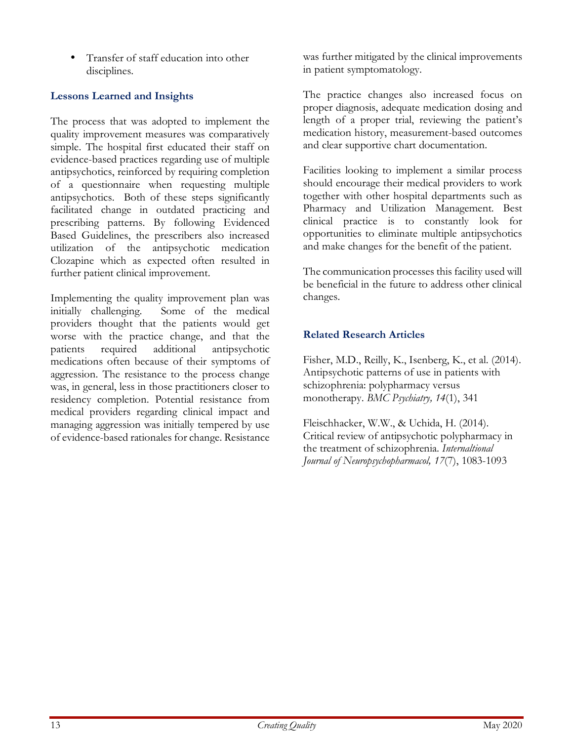• Transfer of staff education into other disciplines.

# Lessons Learned and Insights

The process that was adopted to implement the quality improvement measures was comparatively simple. The hospital first educated their staff on evidence-based practices regarding use of multiple antipsychotics, reinforced by requiring completion of a questionnaire when requesting multiple antipsychotics. Both of these steps significantly facilitated change in outdated practicing and prescribing patterns. By following Evidenced Based Guidelines, the prescribers also increased utilization of the antipsychotic medication Clozapine which as expected often resulted in further patient clinical improvement.

Implementing the quality improvement plan was initially challenging. Some of the medical providers thought that the patients would get worse with the practice change, and that the patients required additional antipsychotic medications often because of their symptoms of aggression. The resistance to the process change was, in general, less in those practitioners closer to residency completion. Potential resistance from medical providers regarding clinical impact and managing aggression was initially tempered by use of evidence-based rationales for change. Resistance

was further mitigated by the clinical improvements in patient symptomatology.

The practice changes also increased focus on proper diagnosis, adequate medication dosing and length of a proper trial, reviewing the patient's medication history, measurement-based outcomes and clear supportive chart documentation.

Facilities looking to implement a similar process should encourage their medical providers to work together with other hospital departments such as Pharmacy and Utilization Management. Best clinical practice is to constantly look for opportunities to eliminate multiple antipsychotics and make changes for the benefit of the patient.

The communication processes this facility used will be beneficial in the future to address other clinical changes.

# Related Research Articles

Fisher, M.D., Reilly, K., Isenberg, K., et al. (2014). Antipsychotic patterns of use in patients with schizophrenia: polypharmacy versus monotherapy. BMC Psychiatry, 14(1), 341

Fleischhacker, W.W., & Uchida, H. (2014). Critical review of antipsychotic polypharmacy in the treatment of schizophrenia. Internaltional Journal of Neuropsychopharmacol, 17(7), 1083-1093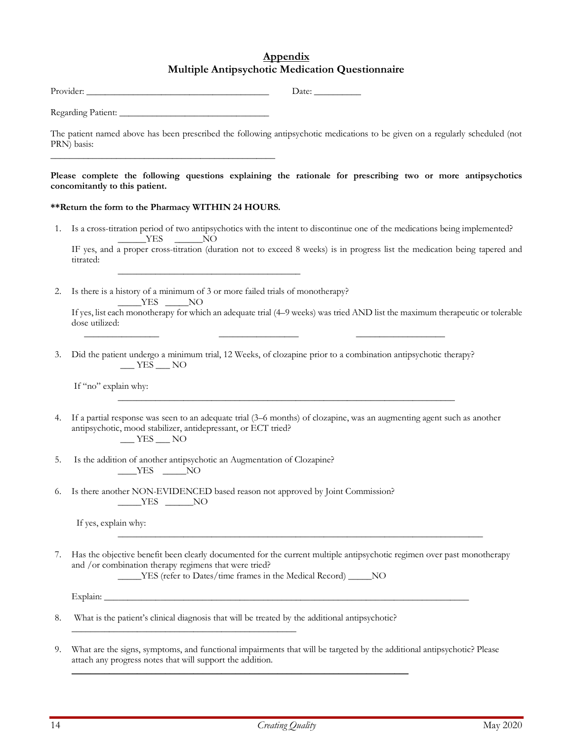#### Appendix Multiple Antipsychotic Medication Questionnaire

|                                                                                                                                       | Date: $\_\_$                                                                                                                                                                                                                                             |  |  |  |  |
|---------------------------------------------------------------------------------------------------------------------------------------|----------------------------------------------------------------------------------------------------------------------------------------------------------------------------------------------------------------------------------------------------------|--|--|--|--|
|                                                                                                                                       |                                                                                                                                                                                                                                                          |  |  |  |  |
|                                                                                                                                       | The patient named above has been prescribed the following antipsychotic medications to be given on a regularly scheduled (not<br>PRN) basis:                                                                                                             |  |  |  |  |
|                                                                                                                                       | Please complete the following questions explaining the rationale for prescribing two or more antipsychotics<br>concomitantly to this patient.                                                                                                            |  |  |  |  |
|                                                                                                                                       | ** Return the form to the Pharmacy WITHIN 24 HOURS.                                                                                                                                                                                                      |  |  |  |  |
| 1.                                                                                                                                    | Is a cross-titration period of two antipsychotics with the intent to discontinue one of the medications being implemented?                                                                                                                               |  |  |  |  |
|                                                                                                                                       | $YES$ NO<br>IF yes, and a proper cross-titration (duration not to exceed 8 weeks) is in progress list the medication being tapered and<br>titrated:                                                                                                      |  |  |  |  |
| 2.                                                                                                                                    | Is there is a history of a minimum of 3 or more failed trials of monotherapy?<br>$YES$ NO                                                                                                                                                                |  |  |  |  |
|                                                                                                                                       | If yes, list each monotherapy for which an adequate trial (4–9 weeks) was tried AND list the maximum therapeutic or tolerable<br>dose utilized:                                                                                                          |  |  |  |  |
| Did the patient undergo a minimum trial, 12 Weeks, of clozapine prior to a combination antipsychotic therapy?<br>3.<br>$-$ YES $-$ NO |                                                                                                                                                                                                                                                          |  |  |  |  |
|                                                                                                                                       | If "no" explain why:<br><u> 1989 - Johann Stoff, amerikansk politiker (d. 1989)</u>                                                                                                                                                                      |  |  |  |  |
| 4.                                                                                                                                    | If a partial response was seen to an adequate trial (3-6 months) of clozapine, was an augmenting agent such as another<br>antipsychotic, mood stabilizer, antidepressant, or ECT tried?<br>$\frac{\text{YES}}{\text{N}}$ NO                              |  |  |  |  |
| 5.                                                                                                                                    | Is the addition of another antipsychotic an Augmentation of Clozapine?<br>$YES$ NO                                                                                                                                                                       |  |  |  |  |
| 6.                                                                                                                                    | Is there another NON-EVIDENCED based reason not approved by Joint Commission?<br>__YES ______NO                                                                                                                                                          |  |  |  |  |
|                                                                                                                                       | If yes, explain why:                                                                                                                                                                                                                                     |  |  |  |  |
| 7.                                                                                                                                    | Has the objective benefit been clearly documented for the current multiple antipsychotic regimen over past monotherapy<br>and /or combination therapy regimens that were tried?<br>______YES (refer to Dates/time frames in the Medical Record) ______NO |  |  |  |  |
|                                                                                                                                       |                                                                                                                                                                                                                                                          |  |  |  |  |
| 8.                                                                                                                                    | What is the patient's clinical diagnosis that will be treated by the additional antipsychotic?                                                                                                                                                           |  |  |  |  |
| 9.                                                                                                                                    | What are the signs, symptoms, and functional impairments that will be targeted by the additional antipsychotic? Please                                                                                                                                   |  |  |  |  |

 $\mathcal{L}_\text{max}$  and  $\mathcal{L}_\text{max}$  and  $\mathcal{L}_\text{max}$  and  $\mathcal{L}_\text{max}$  and  $\mathcal{L}_\text{max}$ 

attach any progress notes that will support the addition.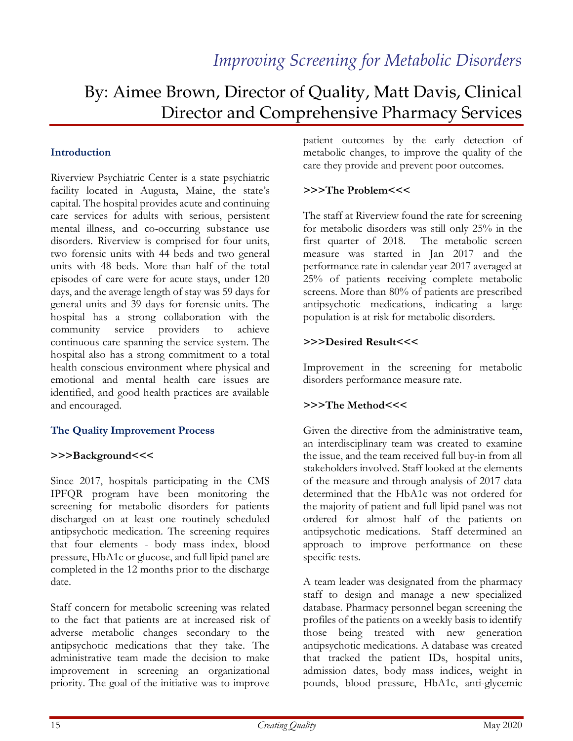# By: Aimee Brown, Director of Quality, Matt Davis, Clinical Director and Comprehensive Pharmacy Services

## Introduction

Riverview Psychiatric Center is a state psychiatric facility located in Augusta, Maine, the state's capital. The hospital provides acute and continuing care services for adults with serious, persistent mental illness, and co-occurring substance use disorders. Riverview is comprised for four units, two forensic units with 44 beds and two general units with 48 beds. More than half of the total episodes of care were for acute stays, under 120 days, and the average length of stay was 59 days for general units and 39 days for forensic units. The hospital has a strong collaboration with the community service providers to achieve continuous care spanning the service system. The hospital also has a strong commitment to a total health conscious environment where physical and emotional and mental health care issues are identified, and good health practices are available and encouraged.

#### The Quality Improvement Process

#### >>>Background<<<

Since 2017, hospitals participating in the CMS IPFQR program have been monitoring the screening for metabolic disorders for patients discharged on at least one routinely scheduled antipsychotic medication. The screening requires that four elements - body mass index, blood pressure, HbA1c or glucose, and full lipid panel are completed in the 12 months prior to the discharge date.

Staff concern for metabolic screening was related to the fact that patients are at increased risk of adverse metabolic changes secondary to the antipsychotic medications that they take. The administrative team made the decision to make improvement in screening an organizational priority. The goal of the initiative was to improve

patient outcomes by the early detection of metabolic changes, to improve the quality of the care they provide and prevent poor outcomes.

## >>>The Problem<<<

The staff at Riverview found the rate for screening for metabolic disorders was still only 25% in the first quarter of 2018. The metabolic screen measure was started in Jan 2017 and the performance rate in calendar year 2017 averaged at 25% of patients receiving complete metabolic screens. More than 80% of patients are prescribed antipsychotic medications, indicating a large population is at risk for metabolic disorders.

#### >>>Desired Result<<<

Improvement in the screening for metabolic disorders performance measure rate.

## >>>The Method<<<

Given the directive from the administrative team, an interdisciplinary team was created to examine the issue, and the team received full buy-in from all stakeholders involved. Staff looked at the elements of the measure and through analysis of 2017 data determined that the HbA1c was not ordered for the majority of patient and full lipid panel was not ordered for almost half of the patients on antipsychotic medications. Staff determined an approach to improve performance on these specific tests.

A team leader was designated from the pharmacy staff to design and manage a new specialized database. Pharmacy personnel began screening the profiles of the patients on a weekly basis to identify those being treated with new generation antipsychotic medications. A database was created that tracked the patient IDs, hospital units, admission dates, body mass indices, weight in pounds, blood pressure, HbA1c, anti-glycemic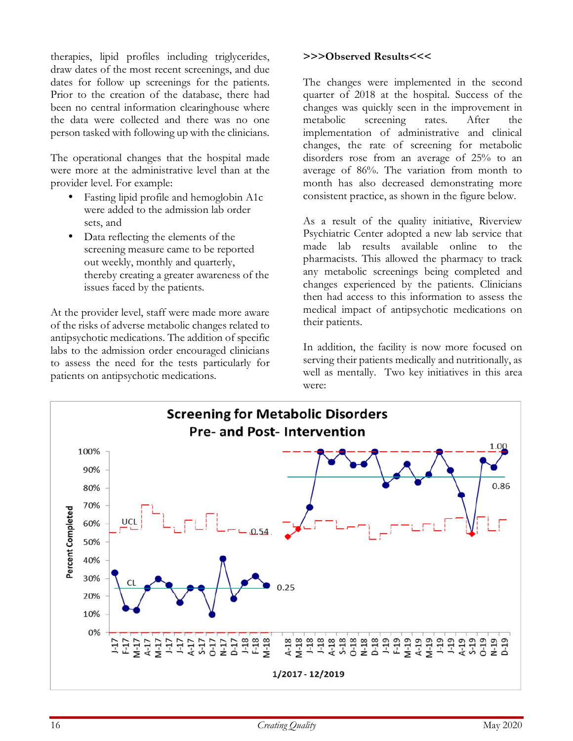therapies, lipid profiles including triglycerides, draw dates of the most recent screenings, and due dates for follow up screenings for the patients. Prior to the creation of the database, there had been no central information clearinghouse where the data were collected and there was no one person tasked with following up with the clinicians.

The operational changes that the hospital made were more at the administrative level than at the provider level. For example:

- Fasting lipid profile and hemoglobin A1c were added to the admission lab order sets, and
- Data reflecting the elements of the screening measure came to be reported out weekly, monthly and quarterly, thereby creating a greater awareness of the issues faced by the patients.

At the provider level, staff were made more aware of the risks of adverse metabolic changes related to antipsychotic medications. The addition of specific labs to the admission order encouraged clinicians to assess the need for the tests particularly for patients on antipsychotic medications.

#### >>>Observed Results<<<

The changes were implemented in the second quarter of 2018 at the hospital. Success of the changes was quickly seen in the improvement in metabolic screening rates. After the implementation of administrative and clinical changes, the rate of screening for metabolic disorders rose from an average of 25% to an average of 86%. The variation from month to month has also decreased demonstrating more consistent practice, as shown in the figure below.

As a result of the quality initiative, Riverview Psychiatric Center adopted a new lab service that made lab results available online to the pharmacists. This allowed the pharmacy to track any metabolic screenings being completed and changes experienced by the patients. Clinicians then had access to this information to assess the medical impact of antipsychotic medications on their patients.

In addition, the facility is now more focused on serving their patients medically and nutritionally, as well as mentally. Two key initiatives in this area were:

![](_page_15_Figure_9.jpeg)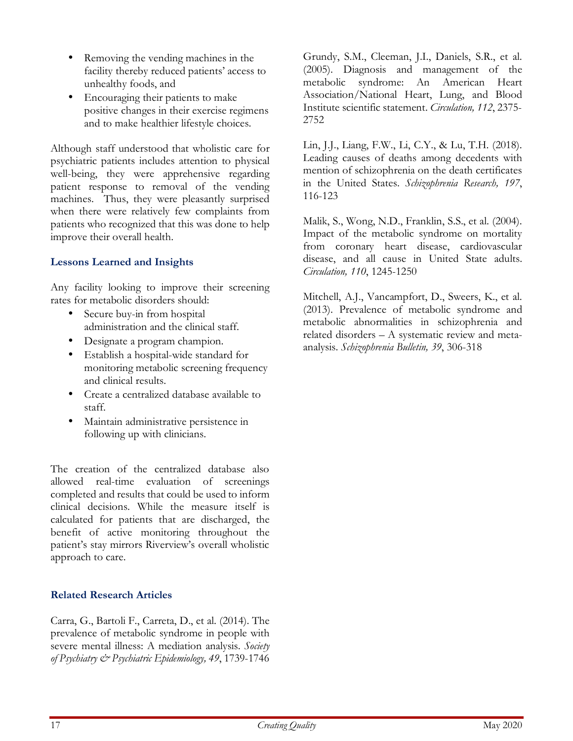- Removing the vending machines in the facility thereby reduced patients' access to unhealthy foods, and
- Encouraging their patients to make positive changes in their exercise regimens and to make healthier lifestyle choices.

Although staff understood that wholistic care for psychiatric patients includes attention to physical well-being, they were apprehensive regarding patient response to removal of the vending machines. Thus, they were pleasantly surprised when there were relatively few complaints from patients who recognized that this was done to help improve their overall health.

## Lessons Learned and Insights

Any facility looking to improve their screening rates for metabolic disorders should:

- Secure buy-in from hospital administration and the clinical staff.
- Designate a program champion.
- Establish a hospital-wide standard for monitoring metabolic screening frequency and clinical results.
- Create a centralized database available to staff.
- Maintain administrative persistence in following up with clinicians.

The creation of the centralized database also allowed real-time evaluation of screenings completed and results that could be used to inform clinical decisions. While the measure itself is calculated for patients that are discharged, the benefit of active monitoring throughout the patient's stay mirrors Riverview's overall wholistic approach to care.

## Related Research Articles

Carra, G., Bartoli F., Carreta, D., et al. (2014). The prevalence of metabolic syndrome in people with severe mental illness: A mediation analysis. Society of Psychiatry & Psychiatric Epidemiology, 49, 1739-1746 Grundy, S.M., Cleeman, J.I., Daniels, S.R., et al. (2005). Diagnosis and management of the metabolic syndrome: An American Heart Association/National Heart, Lung, and Blood Institute scientific statement. Circulation, 112, 2375- 2752

Lin, J.J., Liang, F.W., Li, C.Y., & Lu, T.H. (2018). Leading causes of deaths among decedents with mention of schizophrenia on the death certificates in the United States. Schizophrenia Research, 197, 116-123

Malik, S., Wong, N.D., Franklin, S.S., et al. (2004). Impact of the metabolic syndrome on mortality from coronary heart disease, cardiovascular disease, and all cause in United State adults. Circulation, 110, 1245-1250

Mitchell, A.J., Vancampfort, D., Sweers, K., et al. (2013). Prevalence of metabolic syndrome and metabolic abnormalities in schizophrenia and related disorders – A systematic review and metaanalysis. Schizophrenia Bulletin, 39, 306-318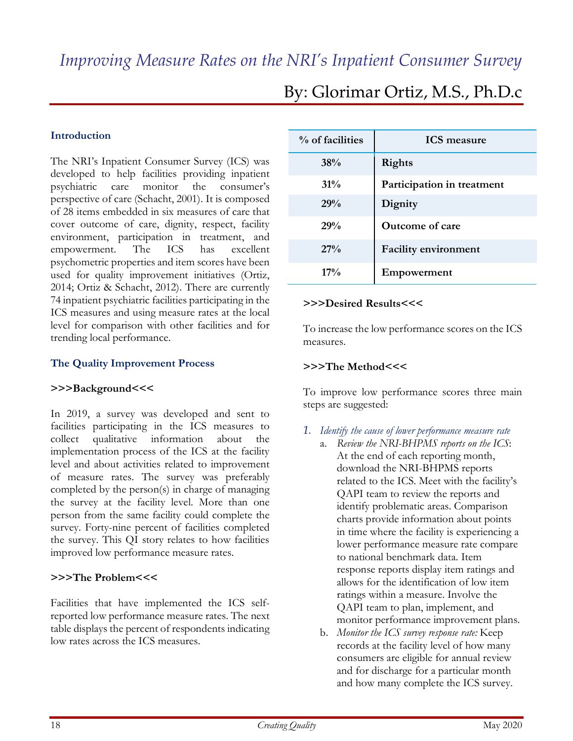#### Introduction

The NRI's Inpatient Consumer Survey (ICS) was developed to help facilities providing inpatient psychiatric care monitor the consumer's perspective of care (Schacht, 2001). It is composed of 28 items embedded in six measures of care that cover outcome of care, dignity, respect, facility environment, participation in treatment, and empowerment. The ICS has excellent psychometric properties and item scores have been used for quality improvement initiatives (Ortiz, 2014; Ortiz & Schacht, 2012). There are currently 74 inpatient psychiatric facilities participating in the ICS measures and using measure rates at the local level for comparison with other facilities and for trending local performance.

#### The Quality Improvement Process

#### >>>Background<<<

In 2019, a survey was developed and sent to facilities participating in the ICS measures to collect qualitative information about the implementation process of the ICS at the facility level and about activities related to improvement of measure rates. The survey was preferably completed by the person(s) in charge of managing the survey at the facility level. More than one person from the same facility could complete the survey. Forty-nine percent of facilities completed the survey. This QI story relates to how facilities improved low performance measure rates.

#### >>>The Problem<<<

Facilities that have implemented the ICS selfreported low performance measure rates. The next table displays the percent of respondents indicating low rates across the ICS measures.

| % of facilities | <b>ICS</b> measure          |
|-----------------|-----------------------------|
| 38%             | <b>Rights</b>               |
| $31\%$          | Participation in treatment  |
| 29%             | Dignity                     |
| 29%             | <b>Outcome of care</b>      |
| 27%             | <b>Facility environment</b> |
| $17\%$          | Empowerment                 |

# By: Glorimar Ortiz, M.S., Ph.D.c

#### >>>Desired Results<<<

To increase the low performance scores on the ICS measures.

#### >>>The Method<<<

To improve low performance scores three main steps are suggested:

- *1.* Identify the cause of lower performance measure rate
	- a. Review the NRI-BHPMS reports on the ICS: At the end of each reporting month, download the NRI-BHPMS reports related to the ICS. Meet with the facility's QAPI team to review the reports and identify problematic areas. Comparison charts provide information about points in time where the facility is experiencing a lower performance measure rate compare to national benchmark data. Item response reports display item ratings and allows for the identification of low item ratings within a measure. Involve the QAPI team to plan, implement, and monitor performance improvement plans.
	- b. Monitor the ICS survey response rate: Keep records at the facility level of how many consumers are eligible for annual review and for discharge for a particular month and how many complete the ICS survey.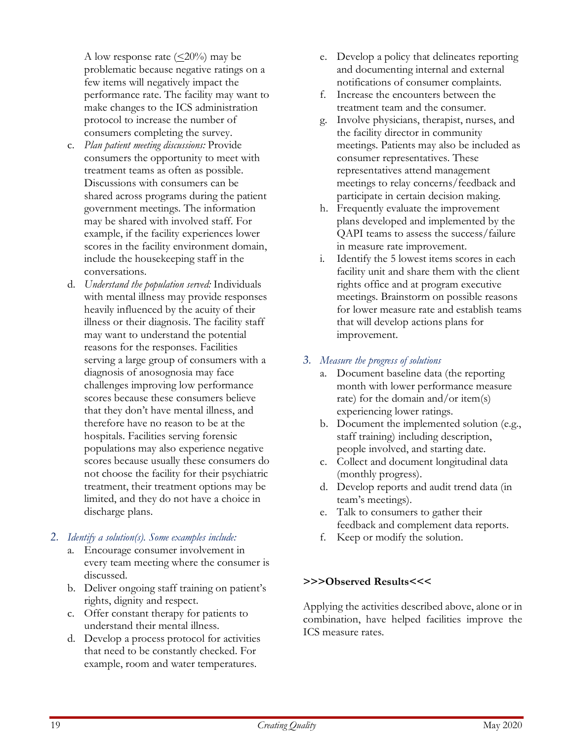A low response rate  $(\leq 20\%)$  may be problematic because negative ratings on a few items will negatively impact the performance rate. The facility may want to make changes to the ICS administration protocol to increase the number of consumers completing the survey.

- c. Plan patient meeting discussions: Provide consumers the opportunity to meet with treatment teams as often as possible. Discussions with consumers can be shared across programs during the patient government meetings. The information may be shared with involved staff. For example, if the facility experiences lower scores in the facility environment domain, include the housekeeping staff in the conversations.
- d. Understand the population served: Individuals with mental illness may provide responses heavily influenced by the acuity of their illness or their diagnosis. The facility staff may want to understand the potential reasons for the responses. Facilities serving a large group of consumers with a diagnosis of anosognosia may face challenges improving low performance scores because these consumers believe that they don't have mental illness, and therefore have no reason to be at the hospitals. Facilities serving forensic populations may also experience negative scores because usually these consumers do not choose the facility for their psychiatric treatment, their treatment options may be limited, and they do not have a choice in discharge plans.

#### *2.* Identify a solution(s). Some examples include:

- a. Encourage consumer involvement in every team meeting where the consumer is discussed.
- b. Deliver ongoing staff training on patient's rights, dignity and respect.
- c. Offer constant therapy for patients to understand their mental illness.
- d. Develop a process protocol for activities that need to be constantly checked. For example, room and water temperatures.
- e. Develop a policy that delineates reporting and documenting internal and external notifications of consumer complaints.
- f. Increase the encounters between the treatment team and the consumer.
- g. Involve physicians, therapist, nurses, and the facility director in community meetings. Patients may also be included as consumer representatives. These representatives attend management meetings to relay concerns/feedback and participate in certain decision making.
- h. Frequently evaluate the improvement plans developed and implemented by the QAPI teams to assess the success/failure in measure rate improvement.
- i. Identify the 5 lowest items scores in each facility unit and share them with the client rights office and at program executive meetings. Brainstorm on possible reasons for lower measure rate and establish teams that will develop actions plans for improvement.

# *3.* Measure the progress of solutions

- a. Document baseline data (the reporting month with lower performance measure rate) for the domain and/or item(s) experiencing lower ratings.
- b. Document the implemented solution (e.g., staff training) including description, people involved, and starting date.
- c. Collect and document longitudinal data (monthly progress).
- d. Develop reports and audit trend data (in team's meetings).
- e. Talk to consumers to gather their feedback and complement data reports.
- f. Keep or modify the solution.

# >>>Observed Results<<<

Applying the activities described above, alone or in combination, have helped facilities improve the ICS measure rates.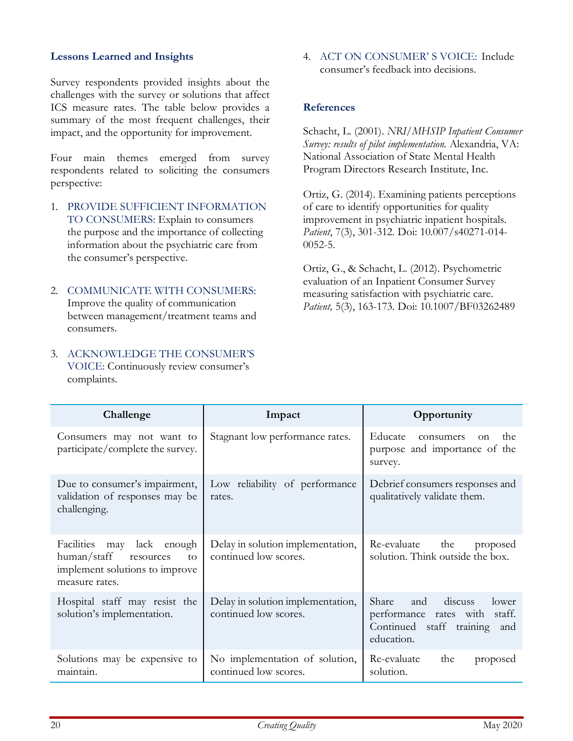#### Lessons Learned and Insights

Survey respondents provided insights about the challenges with the survey or solutions that affect ICS measure rates. The table below provides a summary of the most frequent challenges, their impact, and the opportunity for improvement.

Four main themes emerged from survey respondents related to soliciting the consumers perspective:

- 1. PROVIDE SUFFICIENT INFORMATION TO CONSUMERS: Explain to consumers the purpose and the importance of collecting information about the psychiatric care from the consumer's perspective.
- 2. COMMUNICATE WITH CONSUMERS: Improve the quality of communication between management/treatment teams and consumers.
- 3. ACKNOWLEDGE THE CONSUMER'S VOICE: Continuously review consumer's complaints.

4. ACT ON CONSUMER' S VOICE: Include consumer's feedback into decisions.

#### **References**

Schacht, L. (2001). NRI/MHSIP Inpatient Consumer Survey: results of pilot implementation. Alexandria, VA: National Association of State Mental Health Program Directors Research Institute, Inc.

Ortiz, G. (2014). Examining patients perceptions of care to identify opportunities for quality improvement in psychiatric inpatient hospitals. Patient, 7(3), 301-312. Doi: 10.007/s40271-014-0052-5.

Ortiz, G., & Schacht, L. (2012). Psychometric evaluation of an Inpatient Consumer Survey measuring satisfaction with psychiatric care. Patient, 5(3), 163-173. Doi: 10.1007/BF03262489

| Challenge                                                                                                              | Impact                                                     | Opportunity                                                                                                           |
|------------------------------------------------------------------------------------------------------------------------|------------------------------------------------------------|-----------------------------------------------------------------------------------------------------------------------|
| Consumers may not want to<br>participate/complete the survey.                                                          | Stagnant low performance rates.                            | Educate<br>the<br>consumers<br><sub>on</sub><br>purpose and importance of the<br>survey.                              |
| Due to consumer's impairment,<br>validation of responses may be<br>challenging.                                        | Low reliability of performance<br>rates.                   | Debrief consumers responses and<br>qualitatively validate them.                                                       |
| may lack<br>Facilities<br>enough<br>human/staff<br>to<br>resources<br>implement solutions to improve<br>measure rates. | Delay in solution implementation,<br>continued low scores. | Re-evaluate<br>the<br>proposed<br>solution. Think outside the box.                                                    |
| Hospital staff may resist the<br>solution's implementation.                                                            | Delay in solution implementation,<br>continued low scores. | Share<br>discuss<br>and<br>lower<br>performance rates with<br>staff.<br>Continued staff training<br>and<br>education. |
| Solutions may be expensive to<br>maintain.                                                                             | No implementation of solution,<br>continued low scores.    | Re-evaluate<br>the<br>proposed<br>solution.                                                                           |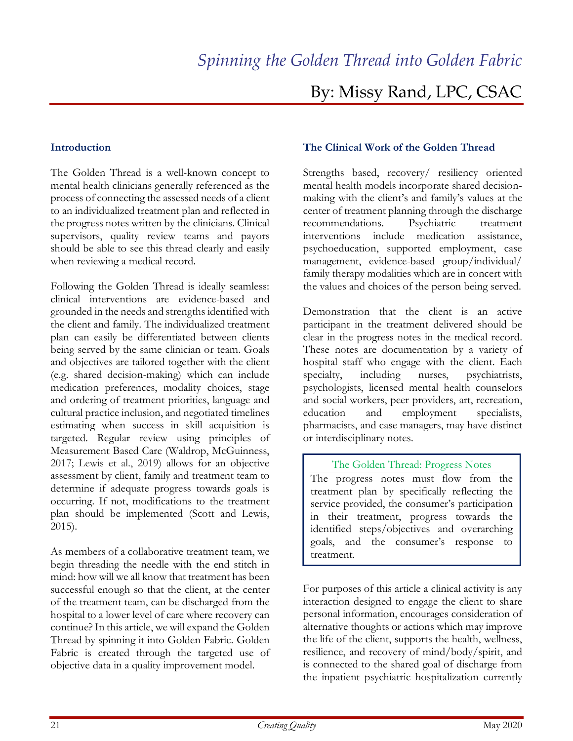# By: Missy Rand, LPC, CSAC

#### Introduction

The Golden Thread is a well-known concept to mental health clinicians generally referenced as the process of connecting the assessed needs of a client to an individualized treatment plan and reflected in the progress notes written by the clinicians. Clinical supervisors, quality review teams and payors should be able to see this thread clearly and easily when reviewing a medical record.

Following the Golden Thread is ideally seamless: clinical interventions are evidence-based and grounded in the needs and strengths identified with the client and family. The individualized treatment plan can easily be differentiated between clients being served by the same clinician or team. Goals and objectives are tailored together with the client (e.g. shared decision-making) which can include medication preferences, modality choices, stage and ordering of treatment priorities, language and cultural practice inclusion, and negotiated timelines estimating when success in skill acquisition is targeted. Regular review using principles of Measurement Based Care (Waldrop, McGuinness, 2017; Lewis et al., 2019) allows for an objective assessment by client, family and treatment team to determine if adequate progress towards goals is occurring. If not, modifications to the treatment plan should be implemented (Scott and Lewis, 2015).

As members of a collaborative treatment team, we begin threading the needle with the end stitch in mind: how will we all know that treatment has been successful enough so that the client, at the center of the treatment team, can be discharged from the hospital to a lower level of care where recovery can continue? In this article, we will expand the Golden Thread by spinning it into Golden Fabric. Golden Fabric is created through the targeted use of objective data in a quality improvement model.

#### The Clinical Work of the Golden Thread

Strengths based, recovery/ resiliency oriented mental health models incorporate shared decisionmaking with the client's and family's values at the center of treatment planning through the discharge recommendations. Psychiatric treatment interventions include medication assistance, psychoeducation, supported employment, case management, evidence-based group/individual/ family therapy modalities which are in concert with the values and choices of the person being served.

Demonstration that the client is an active participant in the treatment delivered should be clear in the progress notes in the medical record. These notes are documentation by a variety of hospital staff who engage with the client. Each specialty, including nurses, psychiatrists, psychologists, licensed mental health counselors and social workers, peer providers, art, recreation, education and employment specialists, pharmacists, and case managers, may have distinct or interdisciplinary notes.

#### The Golden Thread: Progress Notes

The progress notes must flow from the treatment plan by specifically reflecting the service provided, the consumer's participation in their treatment, progress towards the identified steps/objectives and overarching goals, and the consumer's response to treatment.

For purposes of this article a clinical activity is any interaction designed to engage the client to share personal information, encourages consideration of alternative thoughts or actions which may improve the life of the client, supports the health, wellness, resilience, and recovery of mind/body/spirit, and is connected to the shared goal of discharge from the inpatient psychiatric hospitalization currently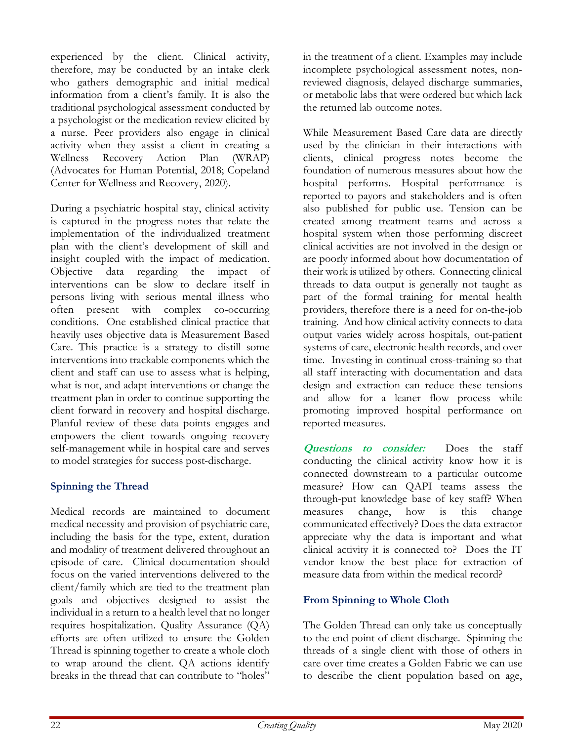experienced by the client. Clinical activity, therefore, may be conducted by an intake clerk who gathers demographic and initial medical information from a client's family. It is also the traditional psychological assessment conducted by a psychologist or the medication review elicited by a nurse. Peer providers also engage in clinical activity when they assist a client in creating a Wellness Recovery Action Plan (WRAP) (Advocates for Human Potential, 2018; Copeland Center for Wellness and Recovery, 2020).

During a psychiatric hospital stay, clinical activity is captured in the progress notes that relate the implementation of the individualized treatment plan with the client's development of skill and insight coupled with the impact of medication. Objective data regarding the impact of interventions can be slow to declare itself in persons living with serious mental illness who often present with complex co-occurring conditions. One established clinical practice that heavily uses objective data is Measurement Based Care. This practice is a strategy to distill some interventions into trackable components which the client and staff can use to assess what is helping, what is not, and adapt interventions or change the treatment plan in order to continue supporting the client forward in recovery and hospital discharge. Planful review of these data points engages and empowers the client towards ongoing recovery self-management while in hospital care and serves to model strategies for success post-discharge.

# Spinning the Thread

Medical records are maintained to document medical necessity and provision of psychiatric care, including the basis for the type, extent, duration and modality of treatment delivered throughout an episode of care. Clinical documentation should focus on the varied interventions delivered to the client/family which are tied to the treatment plan goals and objectives designed to assist the individual in a return to a health level that no longer requires hospitalization. Quality Assurance (QA) efforts are often utilized to ensure the Golden Thread is spinning together to create a whole cloth to wrap around the client. QA actions identify breaks in the thread that can contribute to "holes"

in the treatment of a client. Examples may include incomplete psychological assessment notes, nonreviewed diagnosis, delayed discharge summaries, or metabolic labs that were ordered but which lack the returned lab outcome notes.

While Measurement Based Care data are directly used by the clinician in their interactions with clients, clinical progress notes become the foundation of numerous measures about how the hospital performs. Hospital performance is reported to payors and stakeholders and is often also published for public use. Tension can be created among treatment teams and across a hospital system when those performing discreet clinical activities are not involved in the design or are poorly informed about how documentation of their work is utilized by others. Connecting clinical threads to data output is generally not taught as part of the formal training for mental health providers, therefore there is a need for on-the-job training. And how clinical activity connects to data output varies widely across hospitals, out-patient systems of care, electronic health records, and over time. Investing in continual cross-training so that all staff interacting with documentation and data design and extraction can reduce these tensions and allow for a leaner flow process while promoting improved hospital performance on reported measures.

Questions to consider: Does the staff conducting the clinical activity know how it is connected downstream to a particular outcome measure? How can QAPI teams assess the through-put knowledge base of key staff? When measures change, how is this change communicated effectively? Does the data extractor appreciate why the data is important and what clinical activity it is connected to? Does the IT vendor know the best place for extraction of measure data from within the medical record?

# From Spinning to Whole Cloth

The Golden Thread can only take us conceptually to the end point of client discharge. Spinning the threads of a single client with those of others in care over time creates a Golden Fabric we can use to describe the client population based on age,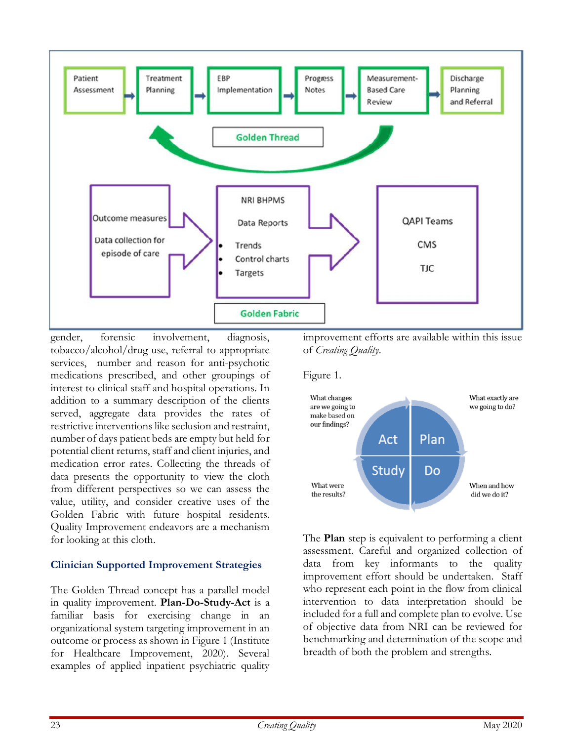![](_page_22_Figure_0.jpeg)

gender, forensic involvement, diagnosis, tobacco/alcohol/drug use, referral to appropriate services, number and reason for anti-psychotic medications prescribed, and other groupings of interest to clinical staff and hospital operations. In addition to a summary description of the clients served, aggregate data provides the rates of restrictive interventions like seclusion and restraint, number of days patient beds are empty but held for potential client returns, staff and client injuries, and medication error rates. Collecting the threads of data presents the opportunity to view the cloth from different perspectives so we can assess the value, utility, and consider creative uses of the Golden Fabric with future hospital residents. Quality Improvement endeavors are a mechanism for looking at this cloth.

## Clinician Supported Improvement Strategies

The Golden Thread concept has a parallel model in quality improvement. Plan-Do-Study-Act is a familiar basis for exercising change in an organizational system targeting improvement in an outcome or process as shown in Figure 1 (Institute for Healthcare Improvement, 2020). Several examples of applied inpatient psychiatric quality

improvement efforts are available within this issue of Creating Quality.

Figure 1.

![](_page_22_Figure_6.jpeg)

The **Plan** step is equivalent to performing a client assessment. Careful and organized collection of data from key informants to the quality improvement effort should be undertaken. Staff who represent each point in the flow from clinical intervention to data interpretation should be included for a full and complete plan to evolve. Use of objective data from NRI can be reviewed for benchmarking and determination of the scope and breadth of both the problem and strengths.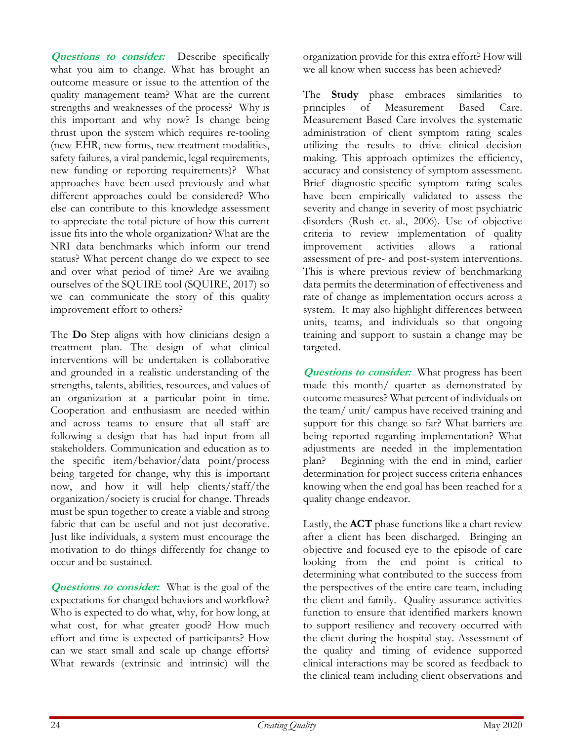**Questions to consider:** Describe specifically what you aim to change. What has brought an outcome measure or issue to the attention of the quality management team? What are the current strengths and weaknesses of the process? Why is this important and why now? Is change being thrust upon the system which requires re-tooling (new EHR, new forms, new treatment modalities, safety failures, a viral pandemic, legal requirements, new funding or reporting requirements)? What approaches have been used previously and what different approaches could be considered? Who else can contribute to this knowledge assessment to appreciate the total picture of how this current issue fits into the whole organization? What are the NRI data benchmarks which inform our trend status? What percent change do we expect to see and over what period of time? Are we availing ourselves of the SQUIRE tool (SQUIRE, 2017) so we can communicate the story of this quality improvement effort to others?

The **Do** Step aligns with how clinicians design a treatment plan. The design of what clinical interventions will be undertaken is collaborative and grounded in a realistic understanding of the strengths, talents, abilities, resources, and values of an organization at a particular point in time. Cooperation and enthusiasm are needed within and across teams to ensure that all staff are following a design that has had input from all stakeholders. Communication and education as to the specific item/behavior/data point/process being targeted for change, why this is important now, and how it will help clients/staff/the organization/society is crucial for change. Threads must be spun together to create a viable and strong fabric that can be useful and not just decorative. Just like individuals, a system must encourage the motivation to do things differently for change to occur and be sustained.

**Questions to consider:** What is the goal of the expectations for changed behaviors and workflow? Who is expected to do what, why, for how long, at what cost, for what greater good? How much effort and time is expected of participants? How can we start small and scale up change efforts? What rewards (extrinsic and intrinsic) will the

organization provide for this extra effort? How will we all know when success has been achieved?

The **Study** phase embraces similarities to principles of Measurement Based Care. Measurement Based Care involves the systematic administration of client symptom rating scales utilizing the results to drive clinical decision making. This approach optimizes the efficiency, accuracy and consistency of symptom assessment. Brief diagnostic-specific symptom rating scales have been empirically validated to assess the severity and change in severity of most psychiatric disorders (Rush et. al., 2006). Use of objective criteria to review implementation of quality improvement activities allows a rational assessment of pre- and post-system interventions. This is where previous review of benchmarking data permits the determination of effectiveness and rate of change as implementation occurs across a system. It may also highlight differences between units, teams, and individuals so that ongoing training and support to sustain a change may be targeted.

**Questions to consider:** What progress has been made this month/ quarter as demonstrated by outcome measures? What percent of individuals on the team/ unit/ campus have received training and support for this change so far? What barriers are being reported regarding implementation? What adjustments are needed in the implementation plan? Beginning with the end in mind, earlier determination for project success criteria enhances knowing when the end goal has been reached for a quality change endeavor.

Lastly, the ACT phase functions like a chart review after a client has been discharged. Bringing an objective and focused eye to the episode of care looking from the end point is critical to determining what contributed to the success from the perspectives of the entire care team, including the client and family. Quality assurance activities function to ensure that identified markers known to support resiliency and recovery occurred with the client during the hospital stay. Assessment of the quality and timing of evidence supported clinical interactions may be scored as feedback to the clinical team including client observations and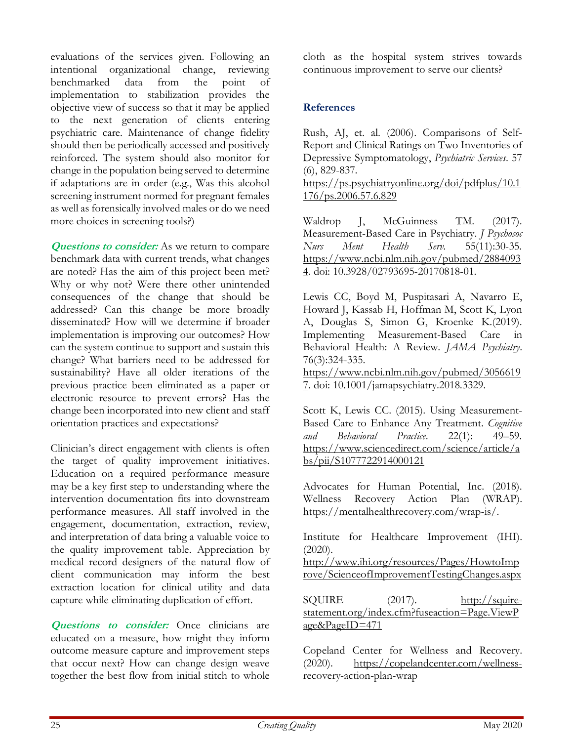evaluations of the services given. Following an intentional organizational change, reviewing benchmarked data from the point of implementation to stabilization provides the objective view of success so that it may be applied to the next generation of clients entering psychiatric care. Maintenance of change fidelity should then be periodically accessed and positively reinforced. The system should also monitor for change in the population being served to determine if adaptations are in order (e.g., Was this alcohol screening instrument normed for pregnant females as well as forensically involved males or do we need more choices in screening tools?)

**Questions to consider:** As we return to compare benchmark data with current trends, what changes are noted? Has the aim of this project been met? Why or why not? Were there other unintended consequences of the change that should be addressed? Can this change be more broadly disseminated? How will we determine if broader implementation is improving our outcomes? How can the system continue to support and sustain this change? What barriers need to be addressed for sustainability? Have all older iterations of the previous practice been eliminated as a paper or electronic resource to prevent errors? Has the change been incorporated into new client and staff orientation practices and expectations?

Clinician's direct engagement with clients is often the target of quality improvement initiatives. Education on a required performance measure may be a key first step to understanding where the intervention documentation fits into downstream performance measures. All staff involved in the engagement, documentation, extraction, review, and interpretation of data bring a valuable voice to the quality improvement table. Appreciation by medical record designers of the natural flow of client communication may inform the best extraction location for clinical utility and data capture while eliminating duplication of effort.

**Questions** to consider: Once clinicians are educated on a measure, how might they inform outcome measure capture and improvement steps that occur next? How can change design weave together the best flow from initial stitch to whole

cloth as the hospital system strives towards continuous improvement to serve our clients?

## References

Rush, AJ, et. al. (2006). Comparisons of Self-Report and Clinical Ratings on Two Inventories of Depressive Symptomatology, Psychiatric Services. 57 (6), 829-837.

https://ps.psychiatryonline.org/doi/pdfplus/10.1 176/ps.2006.57.6.829

Waldrop J, McGuinness TM. (2017). Measurement-Based Care in Psychiatry. J Psychosoc Nurs Ment Health Serv. 55(11):30-35. https://www.ncbi.nlm.nih.gov/pubmed/2884093 4. doi: 10.3928/02793695-20170818-01.

Lewis CC, Boyd M, Puspitasari A, Navarro E, Howard J, Kassab H, Hoffman M, Scott K, Lyon A, Douglas S, Simon G, Kroenke K.(2019). Implementing Measurement-Based Care in Behavioral Health: A Review. JAMA Psychiatry. 76(3):324-335.

https://www.ncbi.nlm.nih.gov/pubmed/3056619 7. doi: 10.1001/jamapsychiatry.2018.3329.

Scott K, Lewis CC. (2015). Using Measurement-Based Care to Enhance Any Treatment. Cognitive and Behavioral Practice. 22(1): 49–59. https://www.sciencedirect.com/science/article/a bs/pii/S1077722914000121

Advocates for Human Potential, Inc. (2018). Wellness Recovery Action Plan (WRAP). https://mentalhealthrecovery.com/wrap-is/.

Institute for Healthcare Improvement (IHI). (2020).

http://www.ihi.org/resources/Pages/HowtoImp rove/ScienceofImprovementTestingChanges.aspx

SQUIRE (2017). http://squirestatement.org/index.cfm?fuseaction=Page.ViewP age&PageID=471

Copeland Center for Wellness and Recovery. (2020). https://copelandcenter.com/wellnessrecovery-action-plan-wrap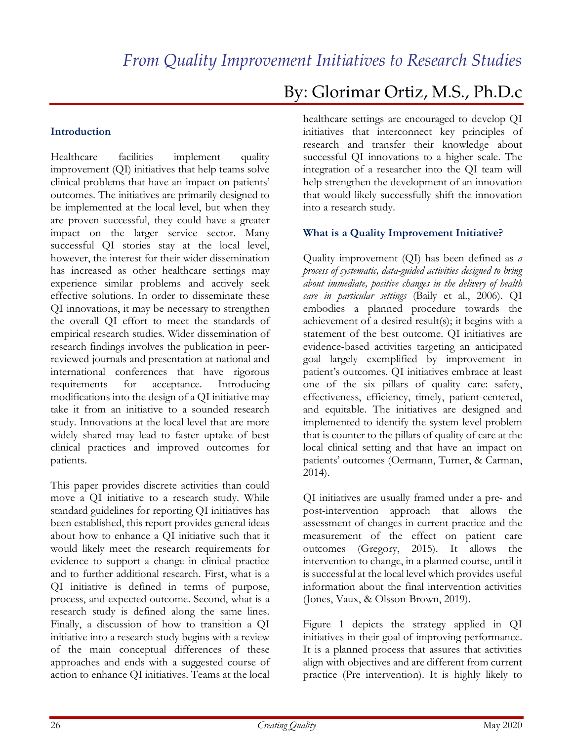## Introduction

Healthcare facilities implement quality improvement (QI) initiatives that help teams solve clinical problems that have an impact on patients' outcomes. The initiatives are primarily designed to be implemented at the local level, but when they are proven successful, they could have a greater impact on the larger service sector. Many successful QI stories stay at the local level, however, the interest for their wider dissemination has increased as other healthcare settings may experience similar problems and actively seek effective solutions. In order to disseminate these QI innovations, it may be necessary to strengthen the overall QI effort to meet the standards of empirical research studies. Wider dissemination of research findings involves the publication in peerreviewed journals and presentation at national and international conferences that have rigorous requirements for acceptance. Introducing modifications into the design of a QI initiative may take it from an initiative to a sounded research study. Innovations at the local level that are more widely shared may lead to faster uptake of best clinical practices and improved outcomes for patients.

This paper provides discrete activities than could move a QI initiative to a research study. While standard guidelines for reporting QI initiatives has been established, this report provides general ideas about how to enhance a QI initiative such that it would likely meet the research requirements for evidence to support a change in clinical practice and to further additional research. First, what is a QI initiative is defined in terms of purpose, process, and expected outcome. Second, what is a research study is defined along the same lines. Finally, a discussion of how to transition a QI initiative into a research study begins with a review of the main conceptual differences of these approaches and ends with a suggested course of action to enhance QI initiatives. Teams at the local

# By: Glorimar Ortiz, M.S., Ph.D.c

healthcare settings are encouraged to develop QI initiatives that interconnect key principles of research and transfer their knowledge about successful QI innovations to a higher scale. The integration of a researcher into the QI team will help strengthen the development of an innovation that would likely successfully shift the innovation into a research study.

## What is a Quality Improvement Initiative?

Quality improvement (QI) has been defined as a process of systematic, data-guided activities designed to bring about immediate, positive changes in the delivery of health care in particular settings (Baily et al., 2006). QI embodies a planned procedure towards the achievement of a desired result(s); it begins with a statement of the best outcome. QI initiatives are evidence-based activities targeting an anticipated goal largely exemplified by improvement in patient's outcomes. QI initiatives embrace at least one of the six pillars of quality care: safety, effectiveness, efficiency, timely, patient-centered, and equitable. The initiatives are designed and implemented to identify the system level problem that is counter to the pillars of quality of care at the local clinical setting and that have an impact on patients' outcomes (Oermann, Turner, & Carman, 2014).

QI initiatives are usually framed under a pre- and post-intervention approach that allows the assessment of changes in current practice and the measurement of the effect on patient care outcomes (Gregory, 2015). It allows the intervention to change, in a planned course, until it is successful at the local level which provides useful information about the final intervention activities (Jones, Vaux, & Olsson-Brown, 2019).

Figure 1 depicts the strategy applied in QI initiatives in their goal of improving performance. It is a planned process that assures that activities align with objectives and are different from current practice (Pre intervention). It is highly likely to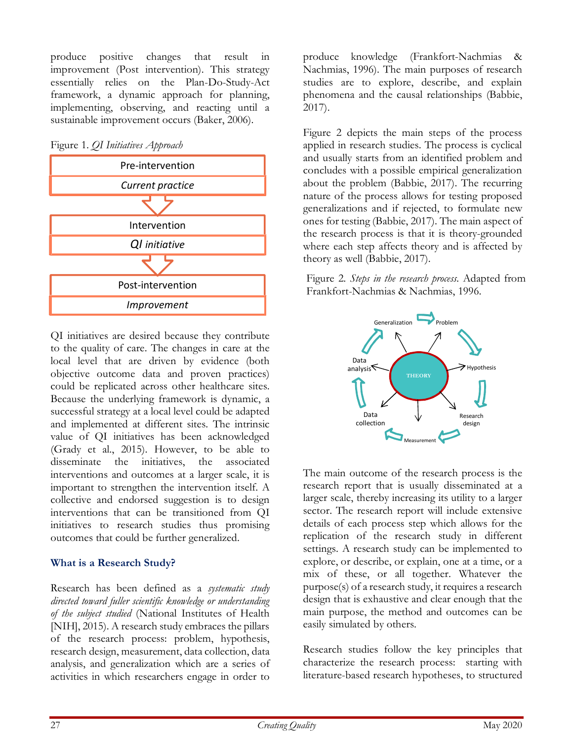produce positive changes that result in improvement (Post intervention). This strategy essentially relies on the Plan-Do-Study-Act framework, a dynamic approach for planning, implementing, observing, and reacting until a sustainable improvement occurs (Baker, 2006).

Figure 1. QI Initiatives Approach

![](_page_26_Figure_2.jpeg)

QI initiatives are desired because they contribute to the quality of care. The changes in care at the local level that are driven by evidence (both objective outcome data and proven practices) could be replicated across other healthcare sites. Because the underlying framework is dynamic, a successful strategy at a local level could be adapted and implemented at different sites. The intrinsic value of QI initiatives has been acknowledged (Grady et al., 2015). However, to be able to disseminate the initiatives, the associated interventions and outcomes at a larger scale, it is important to strengthen the intervention itself. A collective and endorsed suggestion is to design interventions that can be transitioned from QI initiatives to research studies thus promising outcomes that could be further generalized.

## What is a Research Study?

Research has been defined as a systematic study directed toward fuller scientific knowledge or understanding of the subject studied (National Institutes of Health [NIH], 2015). A research study embraces the pillars of the research process: problem, hypothesis, research design, measurement, data collection, data analysis, and generalization which are a series of activities in which researchers engage in order to

produce knowledge (Frankfort-Nachmias & Nachmias, 1996). The main purposes of research studies are to explore, describe, and explain phenomena and the causal relationships (Babbie, 2017).

Figure 2 depicts the main steps of the process applied in research studies. The process is cyclical and usually starts from an identified problem and concludes with a possible empirical generalization about the problem (Babbie, 2017). The recurring nature of the process allows for testing proposed generalizations and if rejected, to formulate new ones for testing (Babbie, 2017). The main aspect of the research process is that it is theory-grounded where each step affects theory and is affected by theory as well (Babbie, 2017).

Figure 2. Steps in the research process. Adapted from Post-intervention<br>Frankfort-Nachmias & Nachmias, 1996.

![](_page_26_Figure_9.jpeg)

The main outcome of the research process is the research report that is usually disseminated at a larger scale, thereby increasing its utility to a larger sector. The research report will include extensive details of each process step which allows for the replication of the research study in different settings. A research study can be implemented to explore, or describe, or explain, one at a time, or a mix of these, or all together. Whatever the purpose(s) of a research study, it requires a research design that is exhaustive and clear enough that the main purpose, the method and outcomes can be easily simulated by others.

Research studies follow the key principles that characterize the research process: starting with literature-based research hypotheses, to structured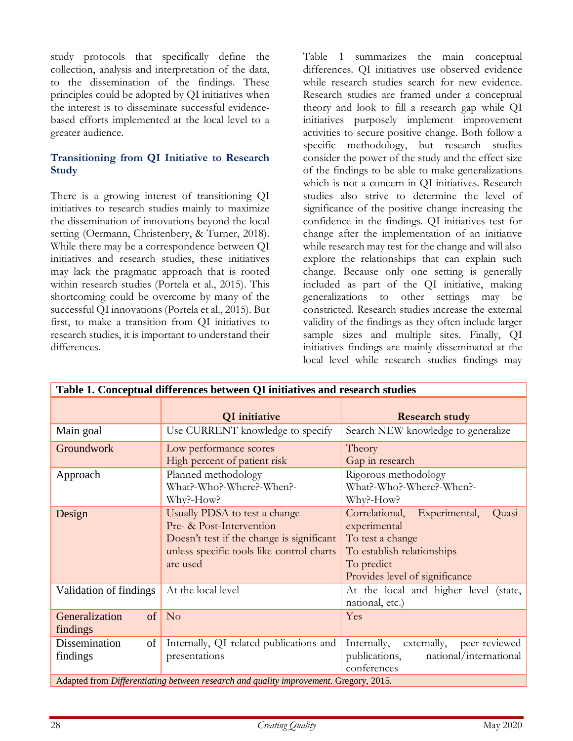study protocols that specifically define the collection, analysis and interpretation of the data, to the dissemination of the findings. These principles could be adopted by QI initiatives when the interest is to disseminate successful evidencebased efforts implemented at the local level to a greater audience.

## Transitioning from QI Initiative to Research **Study**

There is a growing interest of transitioning QI initiatives to research studies mainly to maximize the dissemination of innovations beyond the local setting (Oermann, Christenbery, & Turner, 2018). While there may be a correspondence between QI initiatives and research studies, these initiatives may lack the pragmatic approach that is rooted within research studies (Portela et al., 2015). This shortcoming could be overcome by many of the successful QI innovations (Portela et al., 2015). But first, to make a transition from QI initiatives to research studies, it is important to understand their differences.

Table 1 summarizes the main conceptual differences. QI initiatives use observed evidence while research studies search for new evidence. Research studies are framed under a conceptual theory and look to fill a research gap while QI initiatives purposely implement improvement activities to secure positive change. Both follow a specific methodology, but research studies consider the power of the study and the effect size of the findings to be able to make generalizations which is not a concern in QI initiatives. Research studies also strive to determine the level of significance of the positive change increasing the confidence in the findings. QI initiatives test for change after the implementation of an initiative while research may test for the change and will also explore the relationships that can explain such change. Because only one setting is generally included as part of the QI initiative, making generalizations to other settings may be constricted. Research studies increase the external validity of the findings as they often include larger sample sizes and multiple sites. Finally, QI initiatives findings are mainly disseminated at the local level while research studies findings may

| Table 1. Conceptual differences between QI initiatives and research studies           |                                                                                                                                                                 |                                                                                                                                                             |  |  |
|---------------------------------------------------------------------------------------|-----------------------------------------------------------------------------------------------------------------------------------------------------------------|-------------------------------------------------------------------------------------------------------------------------------------------------------------|--|--|
|                                                                                       | QI initiative                                                                                                                                                   | <b>Research study</b>                                                                                                                                       |  |  |
| Main goal                                                                             | Use CURRENT knowledge to specify                                                                                                                                | Search NEW knowledge to generalize                                                                                                                          |  |  |
| Groundwork                                                                            | Low performance scores<br>High percent of patient risk                                                                                                          | Theory<br>Gap in research                                                                                                                                   |  |  |
| Approach                                                                              | Planned methodology<br>What?-Who?-Where?-When?-<br>Why?-How?                                                                                                    | Rigorous methodology<br>What?-Who?-Where?-When?-<br>Why?-How?                                                                                               |  |  |
| Design                                                                                | Usually PDSA to test a change<br>Pre- & Post-Intervention<br>Doesn't test if the change is significant<br>unless specific tools like control charts<br>are used | Correlational,<br>Experimental,<br>Quasi-<br>experimental<br>To test a change<br>To establish relationships<br>To predict<br>Provides level of significance |  |  |
| Validation of findings                                                                | At the local level                                                                                                                                              | At the local and higher level (state,<br>national, etc.)                                                                                                    |  |  |
| of<br>Generalization<br>findings                                                      | N <sub>o</sub>                                                                                                                                                  | Yes                                                                                                                                                         |  |  |
| Dissemination<br>of<br>findings                                                       | Internally, QI related publications and<br>presentations                                                                                                        | peer-reviewed<br>Internally,<br>externally,<br>publications,<br>national/international<br>conferences                                                       |  |  |
| Adapted from Differentiating between research and quality improvement. Gregory, 2015. |                                                                                                                                                                 |                                                                                                                                                             |  |  |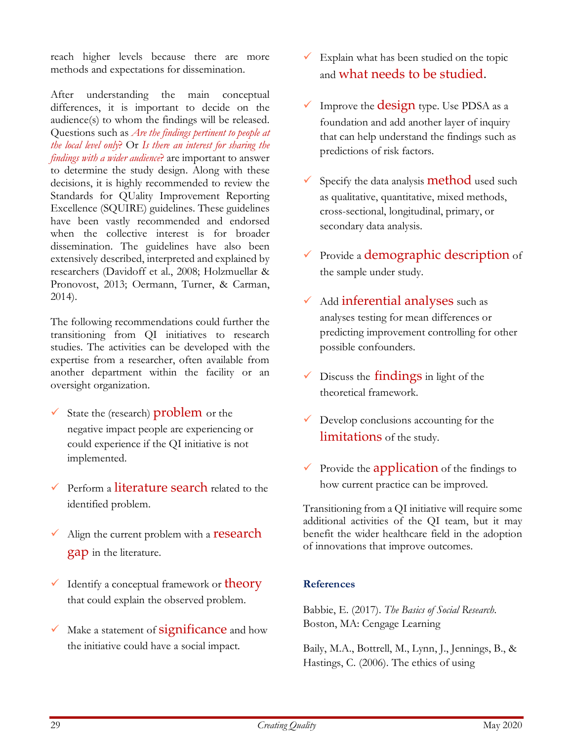reach higher levels because there are more methods and expectations for dissemination.

After understanding the main conceptual differences, it is important to decide on the audience(s) to whom the findings will be released. Questions such as Are the findings pertinent to people at the local level only? Or Is there an interest for sharing the findings with a wider audience? are important to answer to determine the study design. Along with these decisions, it is highly recommended to review the Standards for QUality Improvement Reporting Excellence (SQUIRE) guidelines. These guidelines have been vastly recommended and endorsed when the collective interest is for broader dissemination. The guidelines have also been extensively described, interpreted and explained by researchers (Davidoff et al., 2008; Holzmuellar & Pronovost, 2013; Oermann, Turner, & Carman, 2014).

The following recommendations could further the transitioning from QI initiatives to research studies. The activities can be developed with the expertise from a researcher, often available from another department within the facility or an oversight organization.

- State the (research) problem or the negative impact people are experiencing or could experience if the QI initiative is not implemented.
- $\checkmark$  Perform a literature search related to the identified problem.
- $\overline{\phantom{a}}$  Align the current problem with a **research** gap in the literature.
- $\checkmark$  Identify a conceptual framework or **theory** that could explain the observed problem.
- Make a statement of **significance** and how the initiative could have a social impact.
- $\checkmark$  Explain what has been studied on the topic and what needs to be studied.
- $\checkmark$  Improve the **design** type. Use PDSA as a foundation and add another layer of inquiry that can help understand the findings such as predictions of risk factors.
- Specify the data analysis **method** used such as qualitative, quantitative, mixed methods, cross-sectional, longitudinal, primary, or secondary data analysis.
- Provide a demographic description of the sample under study.
- $\checkmark$  Add inferential analyses such as analyses testing for mean differences or predicting improvement controlling for other possible confounders.
- $\checkmark$  Discuss the **findings** in light of the theoretical framework.
- Develop conclusions accounting for the limitations of the study.
- $\checkmark$  Provide the application of the findings to how current practice can be improved.

Transitioning from a QI initiative will require some additional activities of the QI team, but it may benefit the wider healthcare field in the adoption of innovations that improve outcomes.

## References

Babbie, E. (2017). The Basics of Social Research. Boston, MA: Cengage Learning

Baily, M.A., Bottrell, M., Lynn, J., Jennings, B., & Hastings, C. (2006). The ethics of using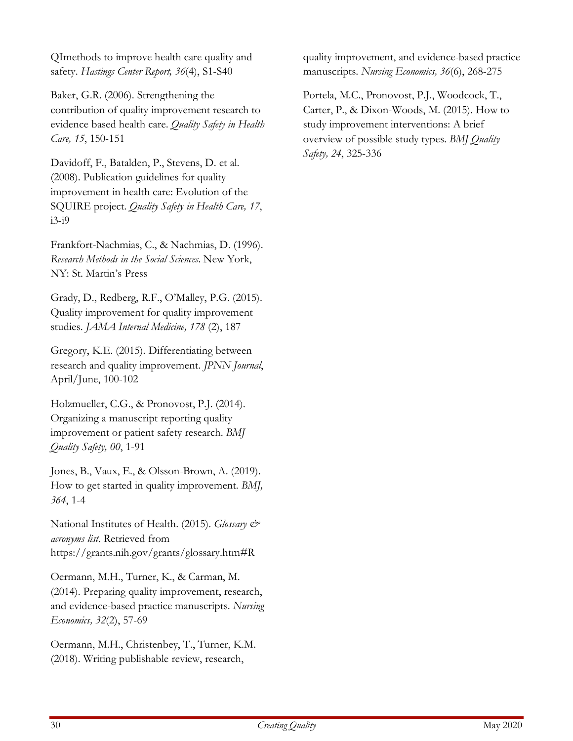QImethods to improve health care quality and safety. Hastings Center Report, 36(4), S1-S40

Baker, G.R. (2006). Strengthening the contribution of quality improvement research to evidence based health care. Quality Safety in Health Care, 15, 150-151

Davidoff, F., Batalden, P., Stevens, D. et al. (2008). Publication guidelines for quality improvement in health care: Evolution of the SQUIRE project. Quality Safety in Health Care, 17, i3-i9

Frankfort-Nachmias, C., & Nachmias, D. (1996). Research Methods in the Social Sciences. New York, NY: St. Martin's Press

Grady, D., Redberg, R.F., O'Malley, P.G. (2015). Quality improvement for quality improvement studies. JAMA Internal Medicine, 178 (2), 187

Gregory, K.E. (2015). Differentiating between research and quality improvement. JPNN Journal, April/June, 100-102

Holzmueller, C.G., & Pronovost, P.J. (2014). Organizing a manuscript reporting quality improvement or patient safety research. BMJ Quality Safety, 00, 1-91

Jones, B., Vaux, E., & Olsson-Brown, A. (2019). How to get started in quality improvement. BMJ, 364, 1-4

National Institutes of Health. (2015). Glossary & acronyms list. Retrieved from https://grants.nih.gov/grants/glossary.htm#R

Oermann, M.H., Turner, K., & Carman, M. (2014). Preparing quality improvement, research, and evidence-based practice manuscripts. Nursing Economics, 32(2), 57-69

Oermann, M.H., Christenbey, T., Turner, K.M. (2018). Writing publishable review, research,

quality improvement, and evidence-based practice manuscripts. Nursing Economics, 36(6), 268-275

Portela, M.C., Pronovost, P.J., Woodcock, T., Carter, P., & Dixon-Woods, M. (2015). How to study improvement interventions: A brief overview of possible study types. BMJ Quality Safety, 24, 325-336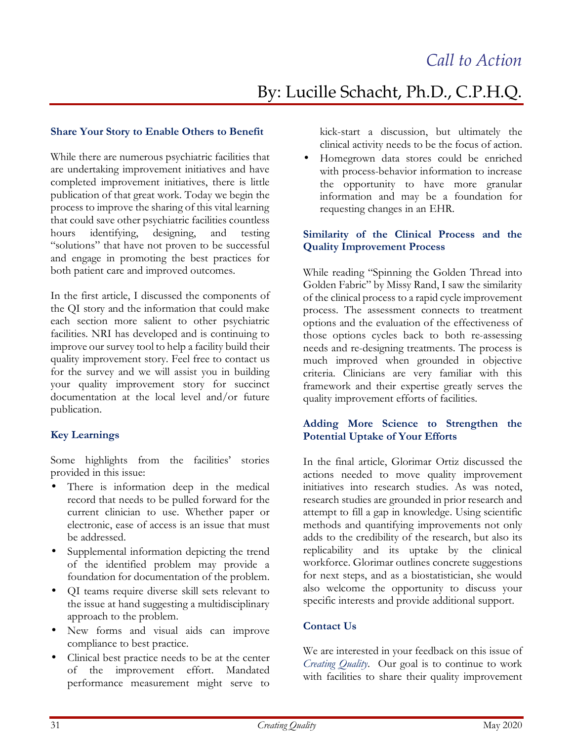# By: Lucille Schacht, Ph.D., C.P.H.Q.

#### Share Your Story to Enable Others to Benefit

While there are numerous psychiatric facilities that are undertaking improvement initiatives and have completed improvement initiatives, there is little publication of that great work. Today we begin the process to improve the sharing of this vital learning that could save other psychiatric facilities countless hours identifying, designing, and testing "solutions" that have not proven to be successful and engage in promoting the best practices for both patient care and improved outcomes.

In the first article, I discussed the components of the QI story and the information that could make each section more salient to other psychiatric facilities. NRI has developed and is continuing to improve our survey tool to help a facility build their quality improvement story. Feel free to contact us for the survey and we will assist you in building your quality improvement story for succinct documentation at the local level and/or future publication.

## Key Learnings

Some highlights from the facilities' stories provided in this issue:

- There is information deep in the medical record that needs to be pulled forward for the current clinician to use. Whether paper or electronic, ease of access is an issue that must be addressed.
- Supplemental information depicting the trend of the identified problem may provide a foundation for documentation of the problem.
- QI teams require diverse skill sets relevant to the issue at hand suggesting a multidisciplinary approach to the problem.
- New forms and visual aids can improve compliance to best practice.
- Clinical best practice needs to be at the center of the improvement effort. Mandated performance measurement might serve to

kick-start a discussion, but ultimately the clinical activity needs to be the focus of action.

• Homegrown data stores could be enriched with process-behavior information to increase the opportunity to have more granular information and may be a foundation for requesting changes in an EHR.

#### Similarity of the Clinical Process and the Quality Improvement Process

While reading "Spinning the Golden Thread into Golden Fabric" by Missy Rand, I saw the similarity of the clinical process to a rapid cycle improvement process. The assessment connects to treatment options and the evaluation of the effectiveness of those options cycles back to both re-assessing needs and re-designing treatments. The process is much improved when grounded in objective criteria. Clinicians are very familiar with this framework and their expertise greatly serves the quality improvement efforts of facilities.

#### Adding More Science to Strengthen the Potential Uptake of Your Efforts

In the final article, Glorimar Ortiz discussed the actions needed to move quality improvement initiatives into research studies. As was noted, research studies are grounded in prior research and attempt to fill a gap in knowledge. Using scientific methods and quantifying improvements not only adds to the credibility of the research, but also its replicability and its uptake by the clinical workforce. Glorimar outlines concrete suggestions for next steps, and as a biostatistician, she would also welcome the opportunity to discuss your specific interests and provide additional support.

#### Contact Us

We are interested in your feedback on this issue of Creating Quality. Our goal is to continue to work with facilities to share their quality improvement